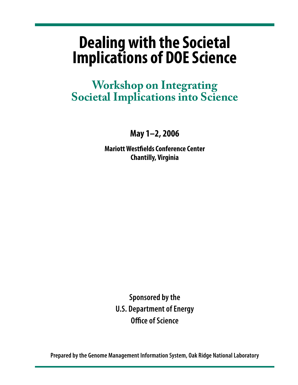# **Dealing with the Societal Implications of DOE Science**

**Workshop on Integrating Societal Implications into Science**

**May 1–2, 2006**

**Mariott Westfields Conference Center Chantilly, Virginia**

> **Sponsored by the U.S. Department of Energy Office of Science**

**Prepared by the Genome Management Information System, Oak Ridge National Laboratory**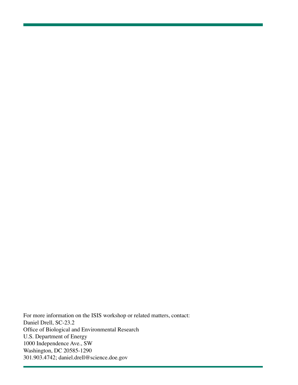For more information on the ISIS workshop or related matters, contact: Daniel Drell, SC-23.2 Office of Biological and Environmental Research U.S. Department of Energy 1000 Independence Ave., SW Washington, DC 20585-1290 301.903.4742; daniel.drell@science.doe.gov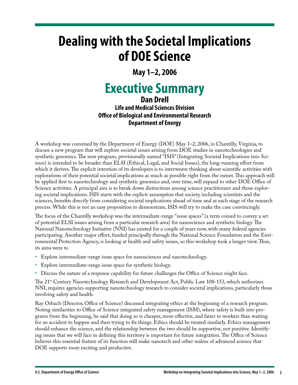# **Dealing with the Societal Implications of DOE Science**

**May 1–2, 2006**

# **Executive Summary**

**Dan Drell Life and Medical Sciences Division Office of Biological and Environmental Research Department of Energy**

A workshop was convened by the Department of Energy (DOE) May 1–2, 2006, in Chantilly, Virginia, to discuss a new program that will explore societal issues arising from DOE studies in nanotechnologies and synthetic genomics. The new program, provisionally named "ISIS" (Integrating Societal Implications into Science) is intended to be broader than ELSI (Ethical, Legal, and Social Issues), the long-running effort from which it derives. The explicit intention of its developers is to interweave thinking about scientific activities with explorations of their potential societal implications as much as possible right from the outset. This approach will be applied first to nanotechnology and synthetic genomics and, over time, will expand to other DOE Office of Science activities. A principal aim is to break down distinctions among science practitioners and those exploring societal implications. ISIS starts with the explicit assumption that society, including scientists and the sciences, benefits directly from considering societal implications ahead of time and at each stage of the research process. While this is not an easy proposition to demonstrate, ISIS will try to make the case convincingly.

The focus of the Chantilly workshop was the intermediate-range "issue spaces" (a term coined to convey a set of potential ELSI issues arising from a particular research area) for nanoscience and synthetic biology. The National Nanotechnology Initiative (NNI) has existed for a couple of years now, with many federal agencies participating. Another major effort, funded principally through the National Science Foundation and the Environmental Protection Agency, is looking at health and safety issues, so this workshop took a longer view. Thus, its aims were to

- Explore intermediate-range issue space for nanosciences and nanotechnology. •
- Explore intermediate-range issue space for synthetic biology. •
- Discuss the nature of a response capability for future challenges the Office of Science might face. •

The 21<sup>st</sup> Century Nanotechnology Research and Development Act, Public Law 108-153, which authorizes NNI, requires agencies supporting nanotechnology research to consider societal implications, particularly those involving safety and health.

Ray Orbach (Director, Office of Science) discussed integrating ethics at the beginning of a research program. Noting similarities to Office of Science integrated safety management (ISM), where safety is built into programs from the beginning, he said that doing so is cheaper, more effective, and fairer to workers than waiting for an accident to happen and then trying to fix things. Ethics should be treated similarly. Ethics management should enhance the science, and the relationship between the two should be supportive, not punitive. Identifying issues that we will face in defining this territory is important for future integration. The Office of Science believes this essential feature of its function will make nanotech and other realms of advanced science that DOE supports more exciting and productive.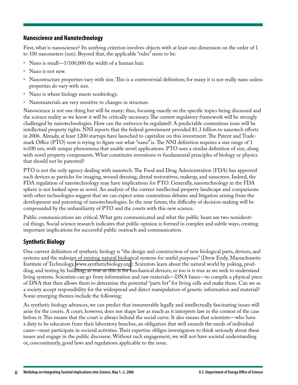### **Nanoscience and Nanotechnology**

First, what is nanoscience? Its unifying criterion involves objects with at least one dimension on the order of 1 to 100 nanometers (nm). Beyond that, the applicable "rules" seem to be:

- Nano is small—1/100,000 the width of a human hair.
- Nano is not new. •
- Nanostructure properties vary with size. This is a controversial definition; for many it is not really nano unless properties do vary with size.
- Nano is where biology meets nonbiology.
- Nanomaterials are very sensitive to changes in structure.

Nanoscience is not one thing but will be many; thus, focusing exactly on the specific topics being discussed and the science reality as we know it will be critically necessary. The current regulatory framework will be strongly challenged by nanotechnologies. How can the *unknown* be regulated? A predictable contentious issue will be intellectual property rights. NNI reports that the federal government provided \$1.3 billion to nanotech efforts in 2006. Already, at least 1200 startups have launched to capitalize on this investment. The Patent and Trademark Office (PTO) now is trying to figure out what "nano" is. The NNI definition requires a size range of 1 to100 nm, with unique phenomena that enable novel applications. PTO uses a similar definition of size, along with novel property components. What constitutes inventions vs fundamental principles of biology or physics that should not be patented?

PTO is not the only agency dealing with nanotech. The Food and Drug Administration (FDA) has approved such devices as particles for imaging, wound dressing, dental restoratives, makeup, and sunscreen. Indeed, the FDA regulation of nanotechnology may have implications for PTO. Generally, nanotechnology in the FDA sphere is not looked upon as novel. An analysis of the current intellectual property landscape and comparisons with other technologies suggest that we can expect some contentious debates and litigation arising from the development and patenting of nanotechnologies. In the near future, the difficulty of decision making will be compounded by the unfamiliarity of PTO and the courts with this new science.

Public communications are critical. What gets communicated and what the public hears are two nonidentical things. Social science research indicates that public opinion is formed in complex and subtle ways, creating important implications for successful public outreach and communication.

# **Synthetic Biology**

One current definition of synthetic biology is "the design and construction of new biological parts, devices, and systems and the redesign of existing natural biological systems for useful purposes" (Drew Endy, Massachusetts Institute of Technology, [www.syntheticbiology.org\)](http://www.syntheticbiology.org). Scientists learn about the natural world by poking, prodding, and testing by building; as true as this is for mechanical devices, so too is it true as we seek to understand living systems. Scientists can go from information and raw materials—DNA bases—to compile a physical piece of DNA that then allows them to determine the potential "parts list" for living cells and make them. Can we as a society accept responsibility for the widespread and direct manipulation of genetic information and material? Some emerging themes include the following:

As synthetic biology advances, we can predict that innumerable legally and intellectually fascinating issues will arise for the courts. A court, however, does not shape law as much as it interprets law in the context of the case before it. This means that the court is always behind the social curve. It also means that scientists—who have a duty to be educators from their laboratory benches, an obligation that well exceeds the needs of individual cases—must participate in societal activities. Their expertise obliges investigators to think seriously about these issues and engage in the public discourse. Without such engagement, we will not have societal understanding or, concomitantly, good laws and regulations applicable to the issue.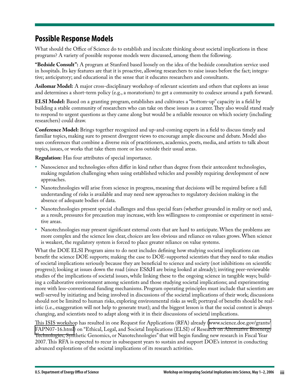# **Possible Response Models**

What should the Office of Science do to establish and inculcate thinking about societal implications in these programs? A variety of possible response models were discussed, among them the following.

**"Bedside Consult":** A program at Stanford based loosely on the idea of the bedside consultation service used in hospitals. Its key features are that it is proactive, allowing researchers to raise issues before the fact; integrative; anticipatory; and educational in the sense that it educates researchers and consultants.

**Asilomar Model:** A major cross-disciplinary workshop of relevant scientists and others that explores an issue and determines a short-term policy (e.g., a moratorium) to get a community to coalesce around a path forward.

**ELSI Model:** Based on a granting program, establishes and cultivates a "bottom-up" capacity in a field by building a stable community of researchers who can take on these issues as a career. They also would stand ready to respond to urgent questions as they came along but would be a reliable resource on which society (including researchers) could draw.

**Conference Model:** Brings together recognized and up-and-coming experts in a field to discuss timely and familiar topics, making sure to present divergent views to encourage ample discourse and debate. Model also uses conferences that combine a diverse mix of practitioners, academics, poets, media, and artists to talk about topics, issues, or works that take them more or less outside their usual areas.

**Regulation:** Has four attributes of special importance.

- Nanoscience and technologies often differ in kind rather than degree from their antecedent technologies, making regulation challenging when using established vehicles and possibly requiring development of new approaches.
- Nanotechnologies will arise from science in progress, meaning that decisions will be required before a full understanding of risks is available and may need new approaches to regulatory decision making in the absence of adequate bodies of data.
- Nanotechnologies present special challenges and thus special fears (whether grounded in reality or not) and, as a result, pressures for precaution may increase, with less willingness to compromise or experiment in sensitive areas.
- Nanotechnologies may present significant external costs that are hard to anticipate. When the problems are •more complex and the science less clear, choices are less obvious and reliance on values grows. When science is weakest, the regulatory system is forced to place greater reliance on value systems.

What the DOE ELSI Program aims to do next includes defining how studying societal implications can benefit the science DOE supports; making the case to DOE-supported scientists that they need to take studies of societal implications seriously because they are beneficial to science and society (not inhibitions on scientific progress); looking at issues down the road (since ES&H are being looked at already); inviting peer-reviewable studies of the implications of societal issues, while linking these to the ongoing science in tangible ways; building a collaborative environment among scientists and those studying societal implications; and experimenting more with less-conventional funding mechanisms. Program operating principles must include that scientists are well-served by initiating and being involved in discussions of the societal implications of their work; discussions should not be limited to human risks, exploring environmental risks as well; portrayal of benefits should be realistic (i.e., exaggeration will not help to generate trust); and the biggest lesson is that the social context is always changing, and scientists need to adapt along with it in their discussions of societal implications.

This ISIS workshop has resulted in one Request for Applications (RFA) already [\(www.science.doe.gov/grants/](http://www.science.doe.gov/grants/FAPN07-16.html) [FAPN07-16.html\)](http://www.science.doe.gov/grants/FAPN07-16.html) on "Ethical, Legal, and Societal Implications (ELSI) of Research on Alternative Bioenergy Technologies, Synthetic Genomics, or Nanotechnologies" that will begin funding new research in Fiscal Year 2007. This RFA is expected to recur in subsequent years to sustain and support DOE's interest in conducting advanced explorations of the societal implications of its research activities.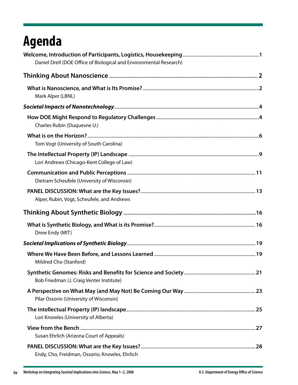# **Agenda**

| Daniel Drell (DOE Office of Biological and Environmental Research) |  |
|--------------------------------------------------------------------|--|
|                                                                    |  |
| Mark Alper (LBNL)                                                  |  |
|                                                                    |  |
| Charles Rubin (Duquesne U.)                                        |  |
| Tom Vogt (University of South Carolina)                            |  |
| Lori Andrews (Chicago-Kent College of Law)                         |  |
| Dietram Scheufele (University of Wisconsin)                        |  |
| Alper, Rubin, Vogt, Scheufele, and Andrews                         |  |
|                                                                    |  |
| Drew Endy (MIT)                                                    |  |
|                                                                    |  |
| Mildred Cho (Stanford)                                             |  |
| Bob Friedman (J. Craig Venter Institute)                           |  |
| Pilar Ossorio (University of Wisconsin)                            |  |
| Lori Knowles (University of Alberta)                               |  |
| Susan Ehrlich (Arizona Court of Appeals)                           |  |
| Endy, Cho, Freidman, Ossorio, Knowles, Ehrlich                     |  |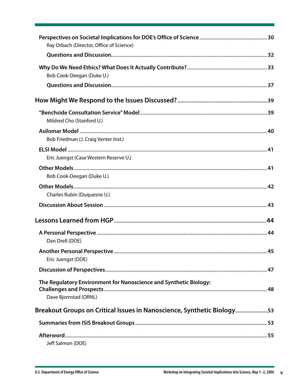| Ray Orbach (Director, Office of Science)                                                   |  |
|--------------------------------------------------------------------------------------------|--|
|                                                                                            |  |
| Bob Cook-Deegan (Duke U.)                                                                  |  |
|                                                                                            |  |
|                                                                                            |  |
| Mildred Cho (Stanford U.)                                                                  |  |
| Bob Friedman (J. Craig Venter Inst.)                                                       |  |
| Eric Juengst (Case Western Reserve U.)                                                     |  |
|                                                                                            |  |
| Bob Cook-Deegan (Duke U.)                                                                  |  |
| Charles Rubin (Duquesne U.)                                                                |  |
|                                                                                            |  |
|                                                                                            |  |
| Dan Drell (DOE)                                                                            |  |
| Eric Juengst (DOE)                                                                         |  |
|                                                                                            |  |
| The Regulatory Environment for Nanoscience and Synthetic Biology:<br>Dave Bjornstad (ORNL) |  |
| Breakout Groups on Critical Issues in Nanoscience, Synthetic Biology53                     |  |
|                                                                                            |  |
| Jeff Salmon (DOE)                                                                          |  |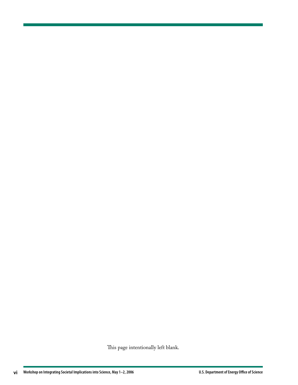This page intentionally left blank.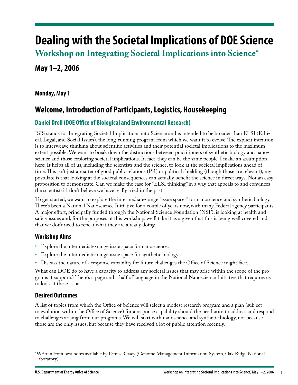# **Dealing with the Societal Implications of DOE Science**

**Workshop on Integrating Societal Implications into Science\***

# **May 1–2, 2006**

**Monday, May 1**

# **Welcome, Introduction of Participants, Logistics, Housekeeping**

# **Daniel Drell (DOE Office of Biological and Environmental Research)**

ISIS stands for Integrating Societal Implications into Science and is intended to be broader than ELSI (Ethical, Legal, and Social Issues), the long-running program from which we want it to evolve. The explicit intention is to interweave thinking about scientific activities and their potential societal implications to the maximum extent possible. We want to break down the distinctions between practitioners of synthetic biology and nanoscience and those exploring societal implications. In fact, they can be the same people. I make an assumption here: It helps all of us, including the scientists and the science, to look at the societal implications ahead of time. This isn't just a matter of good public relations (PR) or political shielding (though those are relevant); my postulate is that looking at the societal consequences can actually benefit the science in direct ways. Not an easy proposition to demonstrate. Can we make the case for "ELSI thinking" in a way that appeals to and convinces the scientists? I don't believe we have really tried in the past.

To get started, we want to explore the intermediate-range "issue spaces" for nanoscience and synthetic biology. There's been a National Nanoscience Initiative for a couple of years now, with many Federal agency participants. A major effort, principally funded through the National Science Foundation (NSF), is looking at health and safety issues and, for the purposes of this workshop, we'll take it as a given that this is being well covered and that we don't need to repeat what they are already doing.

### **Workshop Aims**

- Explore the intermediate-range issue space for nanoscience.
- Explore the intermediate-range issue space for synthetic biology.
- Discuss the nature of a response capability for future challenges the Office of Science might face. •

What can DOE do to have a capacity to address any societal issues that may arise within the scope of the programs it supports? There's a page and a half of language in the National Nanoscience Initiative that requires us to look at these issues.

### **Desired Outcomes**

A list of topics from which the Office of Science will select a modest research program and a plan (subject to evolution within the Office of Science) for a response capability should the need arise to address and respond to challenges arising from our programs. We will start with nanoscience and synthetic biology, not because those are the only issues, but because they have received a lot of public attention recently.

\*Written from best notes available by Denise Casey (Genome Management Information System, Oak Ridge National Laboratory).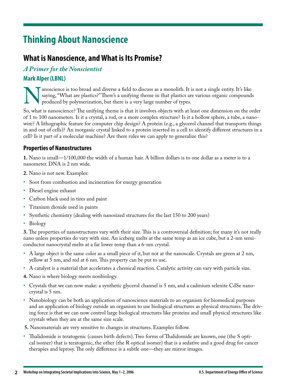# **Thinking About Nanoscience**

# **What is Nanoscience, and What is Its Promise?**

# *A Primer for the Nonscientist*  **Mark Alper (LBNL)**

Anoscience is too broad and diverse a field to discuss as a monolith. It is not a single entity. It's like<br>saying, "What are plastics?" There's a unifying theme in that plastics are various organic compounds<br>produced by po saying, "What are plastics?" There's a unifying theme in that plastics are various organic compounds produced by polymerization, but there is a very large number of types.

So, what is nanoscience? The unifying theme is that it involves objects with at least one dimension on the order of 1 to 100 nanometers. Is it a crystal, a rod, or a more complex structure? Is it a hollow sphere, a tube, a nanowire? A lithographic feature for computer chip design? A protein (e.g., a glycerol channel that transports things in and out of cells)? An inorganic crystal linked to a protein inserted in a cell to identify different structures in a cell? Is it part of a molecular machine? Are there rules we can apply to generalize this?

# **Properties of Nanostructures**

**1.** Nano is small—1/100,000 the width of a human hair. A billion dollars is to one dollar as a meter is to a nanometer. DNA is 2 nm wide.

- **2.** Nano is not new. Examples:
- Soot from combustion and incineration for energy generation
- Diesel engine exhaust •
- Carbon black used in tires and paint •
- Titanium dioxide used in paints
- Synthetic chemistry (dealing with nanosized structures for the last 150 to 200 years) •
- Biology

**3.** The properties of nanostructures vary with their size. This is a controversial definition; for many it's not really nano unless properties do vary with size. An iceberg melts at the same temp as an ice cube, but a 2-nm semiconductor nanocrystal melts at a far lower temp than a 6-nm crystal.

- A large object is the same color as a small piece of it, but not at the nanoscale. Crystals are green at 2 nm, yellow at 5 nm, and red at 6 nm. This property can be put to use.
- A catalyst is a material that accelerates a chemical reaction. Catalytic activity can vary with particle size. •
- **4.** Nano is where biology meets nonbiology.
- Crystals that we can now make: a synthetic glycerol channel is 5 nm, and a cadmium selenite CdSe nano-• crystal is 5 nm.
- Nanobiology can be both an application of nanoscience materials to an organism for biomedical purposes and an application of biology outside an organism to use biological structures as physical structures. The driving force is that we can now control large biological structures like proteins and small physical structures like crystals when they are at the same size scale.

 **5.** Nanomaterials are very sensitive to changes in structures. Examples follow.

• Thalidomide is teratogenic (causes birth defects). Two forms of Thalidomide are known, one (the S optical isomer) that is teratogenic, the other (the R optical isomer) that is a sedative and a good drug for cancer therapies and leprosy. The only difference is a subtle one—they are mirror images.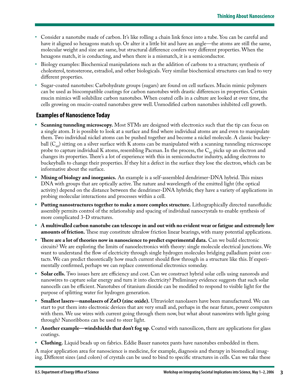- Consider a nanotube made of carbon. It's like rolling a chain link fence into a tube. You can be careful and have it aligned so hexagons match up. Or alter it a little bit and have an angle—the atoms are still the same, molecular weight and size are same, but structural difference confers very different properties. When the hexagons match, it is conducting, and when there is a mismatch, it is a semiconductor.
- Biology examples: Biochemical manipulations such as the addition of carbons to a structure; synthesis of cholesterol, testosterone, estradiol, and other biologicals. Very similar biochemical structures can lead to very different properties.
- Sugar-coated nanotubes: Carbohydrate groups (sugars) are found on cell surfaces. Mucin mimic polymers can be used as biocompatible coatings for carbon nanotubes with drastic differences in properties. Certain mucin mimics will solubilize carbon nanotubes. When coated cells in a culture are looked at over time, the cells growing on mucin-coated nanotubes grew well. Unmodified carbon nanotubes inhibited cell growth.

#### **Examples of Nanoscience Today**

- **Scanning tunneling microscopy.** Most STMs are designed with electronics such that the tip can focus on **•** a single atom. It is possible to look at a surface and find where individual atoms are and even to manipulate them. Two individual nickel atoms can be pushed together and become a nickel molecule. A classic buckeyball  $(C_{60})$  sitting on a silver surface with K atoms can be manipulated with a scanning tunneling microscope probe to capture individual K atoms, resembling Pacman. In the process, the  $C_{60}$  picks up an electron and changes its properties. There's a lot of experience with this in semiconductor industry, adding electrons to buckeyballs to change their properties. If they hit a defect in the surface they lose the electron, which can be informative about the surface.
- **Mixing of biology and inorganics.** An example is a self-assembled dendrimer-DNA hybrid. This mixes **•** DNA with groups that are optically active. The nature and wavelength of the emitted light (the optical activity) depend on the distance between the dendrimer-DNA hybrids; they have a variety of applications in probing molecular interactions and processes within a cell.
- **Putting nanostructures together to make a more complex structure.** Lithographically directed nanofluidic **•** assembly permits control of the relationship and spacing of individual nanocrystals to enable synthesis of more complicated 3-D structures.
- **A multiwalled carbon nanotube can telescope in and out with no evident wear or fatigue and extremely low • amounts of friction.** These may constitute ultralow friction linear bearings, with many potential applications.
- **There are a lot of theories now in nanoscience to predict experimental data.** Can we build electronic **•** circuits? We are exploring the limits of nanoelectronics with theory: single molecule electrical junctions. We want to understand the flow of electricity through single hydrogen molecules bridging palladium point contacts. We can predict theoretically how much current should flow through in a structure like this. If experimentally confirmed, perhaps we can replace conventional electronics someday.
- **Solar cells.** Two issues here are efficiency and cost. Can we construct hybrid solar cells using nanorods and nanowires to capture solar energy and turn it into electricity? Preliminary evidence suggests that such solar nanocells can be efficient. Nanotubes of titanium dioxide can be modified to respond to visible light for the purpose of splitting water for hydrogen generation. **•**
- **Smallest lasers—nanolasers of ZnO (zinc oxide).** Ultraviolet nanolasers have been manufactured. We can **•** start to put them into electronic devices that are very small and, perhaps in the near future, power computers with them. We use wires with current going through them now, but what about nanowires with light going through? Nanoribbons can be used to steer light.
- **Another example—windshields that don't fog up**. Coated with nanosilicon, there are applications for glass **•** coatings.
- **Clothing.** Liquid beads up on fabrics. Eddie Bauer nanotex pants have nanotubes embedded in them. **•**

A major application area for nanoscience is medicine, for example, diagnosis and therapy in biomedical imaging. Different sizes (and colors) of crystals can be used to bind to specific structures in cells. Can we take these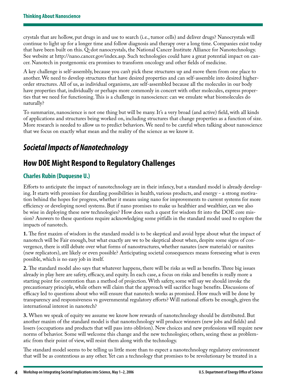crystals that are hollow, put drugs in and use to search (i.e., tumor cells) and deliver drugs? Nanocrystals will continue to light up for a longer time and follow diagnosis and therapy over a long time. Companies exist today that have been built on this. Q-dot nanocrystals, the National Cancer Institute Alliance for Nanotechnology. See website at http://nano.cancer.gov/index.asp. Such technologies could have a great potential impact on cancer. Nanotech in postgenomic era promises to transform oncology and other fields of medicine.

A key challenge is self-assembly, because you can't pick these structures up and move them from one place to another. We need to develop structures that have desired properties and can self-assemble into desired higherorder structures. All of us, as individual organisms, are self-assembled because all the molecules in our body have properties that, individually or perhaps more commonly in concert with other molecules, express properties that we need for functioning. This is a challenge in nanoscience: can we emulate what biomolecules do naturally?

To summarize, nanoscience is not one thing but will be many. It's a very broad (and active) field, with all kinds of applications and structures being worked on, including structures that change properties as a function of size. More research is needed to allow us to predict behaviors. We need to be careful when talking about nanoscience that we focus on exactly what mean and the reality of the science as we know it.

# *Societal Impacts of Nanotechnology*

# **How DOE Might Respond to Regulatory Challenges**

# **Charles Rubin (Duquesne U.)**

Efforts to anticipate the impact of nanotechnology are in their infancy, but a standard model is already developing. It starts with promises for dazzling possibilities in health, various products, and energy - a strong motivation behind the hopes for progress, whether it means using nano for improvements to current systems for more efficiency or developing novel systems. But if nano promises to make us healthier and wealthier, can we also be wise in deploying these new technologies? How does such a quest for wisdom fit into the DOE core mission? Answers to these questions require acknowledging some pitfalls in the standard model used to explore the impacts of nanotech.

**1.** The first maxim of wisdom in the standard model is to be skeptical and avoid hype about what the impact of nanotech will be Fair enough, but what exactly are we to be skeptical about when, despite some signs of convergence, there is still debate over what forms of nanostructures, whether nanates (new materials) or nanites (new replicators), are likely or even possible? Anticipating societal consequences means foreseeing what is even possible, which is no easy job in itself.

**2.** The standard model also says that whatever happens, there will be risks as well as benefits. Three big issues already in play here are safety, efficacy, and equity. In each case, a focus on risks and benefits is really more a starting point for contention than a method of projection. With safety, some will say we should invoke the precautionary principle, while others will claim that the approach will sacrifice huge benefits. Discussions of efficacy led to questions about who will ensure that nanotech works as promised. How much will be done by transparency and responsiveness vs governmental regulatory efforts? Will national efforts be enough, given the international interest in nanotech?

**3.** When we speak of equity we assume we know how rewards of nanotechnology should be distributed. But another maxim of the standard model is that nanotechnology will produce winners (new jobs and fields) and losers (occupations and products that will pass into oblivion). New choices and new professions will require new norms of behavior. Some will welcome this change and the new technologies; others, seeing these as problematic from their point of view, will resist them along with the technology.

The standard model seems to be telling us little more than to expect a nanotechnology regulatory environment that will be as contentious as any other. Yet can a technology that promises to be revolutionary be treated in a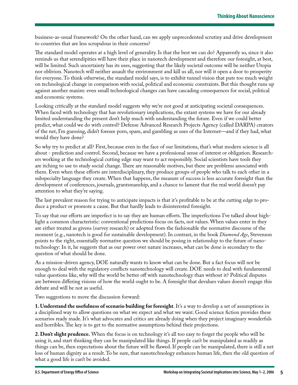business-as-usual framework? On the other hand, can we apply unprecedented scrutiny and drive development to countries that are less scrupulous in their concerns?

The standard model operates at a high level of generality. Is that the best we can do? Apparently so, since it also reminds us that serendipities will have their place in nanotech development and therefore our foresight, at best, will be limited. Such uncertainty has its uses, suggesting that the likely societal outcome will be neither Utopia nor oblivion. Nanotech will neither assault the environment and kill us all, nor will it open a door to prosperity for everyone. To think otherwise, the standard model says, is to exhibit tunnel vision that puts too much weight on technological change in comparison with social, political and economic constraints. But this thought runs up against another maxim: even small technological changes can have cascading consequences for social, political and economic systems.

Looking critically at the standard model suggests why we're not good at anticipating societal consequences. When faced with technology that has revolutionary implications, the extant systems we have for our already limited understanding the present don't help much with understanding the future. Even if we could better predict, what could we do with control? Defense Advanced Research Projects Agency (called DARPA) creators of the net, I'm guessing, didn't foresee porn, spam, and gambling as uses of the Internet—and if they had, what would they have done?

So why try to predict at all? First, because even in the face of our limitations, that's what modern science is all about - prediction and control. Second, because we have a professional sense of interest or obligation. Researchers working at the technological cutting edge may want to act responsibly. Social scientists have tools they are itching to use to study social change. There are reasonable motives, but there are problems associated with them. Even when these efforts are interdisciplinary, they produce groups of people who talk to each other in a subspecialty language they create. When that happens, the measure of success is less accurate foresight than the development of conferences, journals, grantsmanship, and a chance to lament that the real world doesn't pay attention to what they're saying.

The last prevalent reason for trying to anticipate impacts is that it's profitable to be at the cutting edge to produce a product or promote a cause. But that hardly leads to disinterested foresight.

To say that our efforts are imperfect is to say they are human efforts. The imperfections I've talked about highlight a common characteristic: conventional predictions focus on facts, not values. When values enter in they are either treated as givens (survey research) or adopted from the fashionable the normative discourse of the moment (e.g., nanotech is good for sustainable development). In contrast, in the book *Diamond Age*, Stevenson points to the right, essentially normative question we should be posing in relationship to the future of nanotechnology: In it, he suggests that as our power over nature increases, what can be done is secondary to the question of what should be done.

As a mission-driven agency, DOE naturally wants to know what can be done. But a fact focus will not be enough to deal with the regulatory conflicts nanotechnology will create. DOE needs to deal with fundamental value questions like, why will the world be better off with nanotechnology than without it? Political disputes are between differing visions of how the world ought to be. A foresight that devalues values doesn't engage this debate and will be not as useful.

Two suggestions to move the discussion forward:

**1. Understand the usefulness of scenario building for foresight**. It's a way to develop a set of assumptions in a disciplined way to allow questions on what we expect and what we want. Good science fiction provides these scenarios ready made. It's what advocates and critics are already doing when they project imaginary wonderfuls and horribles. The key is to get to the normative assumptions behind their projections.

**2. Don't slight prudence.** When the focus is on technology it's all too easy to forget the people who will be using it, and start thinking they can be manipulated like things. If people can't be manipulated as readily as things can be, then expectations about the future will be flawed. If people can be manipulated, there is still a net loss of human dignity as a result. To be sure, that nanotechnology enhances human life, then the old question of what a good life is can't be avoided.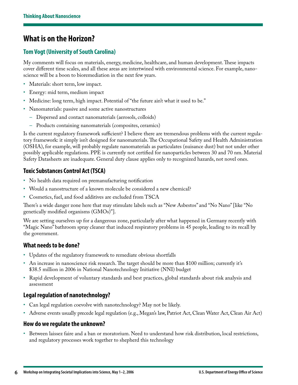# **What is on the Horizon?**

# **Tom Vogt (University of South Carolina)**

My comments will focus on materials, energy, medicine, healthcare, and human development. These impacts cover different time scales, and all these areas are intertwined with environmental science. For example, nanoscience will be a boon to bioremediation in the next few years.

- Materials: short term, low impact.
- Energy: mid term, medium impact
- Medicine: long term, high impact. Potential of "the future ain't what it used to be." •
- Nanomaterials: passive and some active nanostructures
	- Dispersed and contact nanomaterials (aerosols, colloids) **–**
	- Products containing nanomaterials (composites, ceramics) **–**

Is the current regulatory framework sufficient? I believe there are tremendous problems with the current regulatory framework: it simply isn't designed for nanomaterials. The Occupational Safety and Health Administration (OSHA), for example, will probably regulate nanomaterials as particulates (nuisance dust) but not under other possibly applicable regulations. PPE is currently not certified for nanoparticles between 30 and 70 nm. Material Safety Datasheets are inadequate. General duty clause applies only to recognized hazards, not novel ones.

### **Toxic Substances Control Act (TSCA)**

- No health data required on premanufacturing notification
- Would a nanostructure of a known molecule be considered a new chemical? •
- Cosmetics, fuel, and food additives are excluded from TSCA

There's a wide danger zone here that may stimulate labels such as "New Asbestos" and "No Nano" [like "No genetically modified organisms (GMOs)"].

We are setting ourselves up for a dangerous zone, particularly after what happened in Germany recently with "Magic Nano" bathroom spray cleaner that induced respiratory problems in 45 people, leading to its recall by the government.

#### **What needs to be done?**

- Updates of the regulatory framework to remediate obvious shortfalls •
- An increase in nanoscience risk research. The target should be more than \$100 million; currently it's \$38.5 million in 2006 in National Nanotechnology Initiative (NNI) budget
- $\bullet$  Rapid development of voluntary standards and best practices, global standards about risk analysis and  $\,$ assessment

### **Legal regulation of nanotechnology?**

- Can legal regulation coevolve with nanotechnology? May not be likely. •
- Adverse events usually precede legal regulation (e.g., Megan's law, Patriot Act, Clean Water Act, Clean Air Act) •

#### **How do we regulate the unknown?**

• Between laissez faire and a ban or moratorium. Need to understand how risk distribution, local restrictions, and regulatory processes work together to shepherd this technology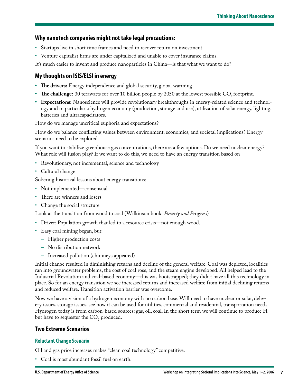#### **Why nanotech companies might not take legal precautions:**

- Startups live in short time frames and need to recover return on investment. •
- Venture capitalist firms are under capitalized and unable to cover insurance claims. •

It's much easier to invent and produce nanoparticles in China—is that what we want to do?

### **My thoughts on ISIS/ELSI in energy**

- **The drivers:** Energy independence and global security, global warming **•**
- The challenge: 30 terawatts for over 10 billion people by 2050 at the lowest possible CO<sub>2</sub> footprint. **•**
- **Expectations:** Nanoscience will provide revolutionary breakthroughs in energy-related science and technol-**•** ogy and in particular a hydrogen economy (production, storage and use), utilization of solar energy, lighting, batteries and ultracapacitators.

How do we manage uncritical euphoria and expectations?

How do we balance conflicting values between environment, economics, and societal implications? Energy scenarios need to be explored.

If you want to stabilize greenhouse gas concentrations, there are a few options. Do we need nuclear energy? What role will fusion play? If we want to do this, we need to have an energy transition based on

- Revolutionary, not incremental, science and technology
- Cultural change

Sobering historical lessons about energy transitions:

- Not implemented—consensual
- There are winners and losers
- Change the social structure

Look at the transition from wood to coal (Wilkinson book: *Poverty and Pr*o*gress*)

- Driver: Population growth that led to a resource crisis—not enough wood. •
- Easy coal mining began, but:
	- Higher production costs **–**
	- No distribution network **–**
	- Increased pollution (chimneys appeared) **–**

Initial change resulted in diminishing returns and decline of the general welfare. Coal was depleted, localities ran into groundwater problems, the cost of coal rose, and the steam engine developed. All helped lead to the Industrial Revolution and coal-based economy—this was bootstrapped; they didn't have all this technology in place. So for an energy transition we see increased returns and increased welfare from initial declining returns and reduced welfare. Transition activation barrier was overcome.

Now we have a vision of a hydrogen economy with no carbon base. Will need to have nuclear or solar, delivery issues, storage issues, see how it can be used for utilities, commercial and residential, transportation needs. Hydrogen today is from carbon-based sources: gas, oil, coal. In the short term we will continue to produce H but have to sequester the  $\mathrm{CO}_2$  produced.

### **Two Extreme Scenarios**

#### **Reluctant Change Scenario**

Oil and gas price increases makes "clean coal technology" competitive.

• Coal is most abundant fossil fuel on earth.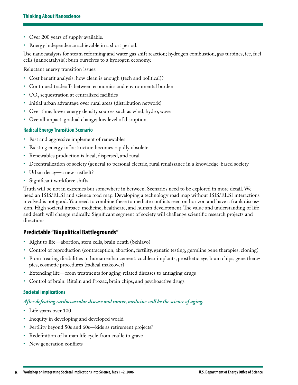- Over 200 years of supply available.
- Energy independence achievable in a short period.

Use nanocatalysts for steam reforming and water gas shift reaction; hydrogen combustion, gas turbines, ice, fuel cells (nanocatalysis); burn ourselves to a hydrogen economy.

Reluctant energy transition issues:

- Cost benefit analysis: how clean is enough (tech and political)? •
- Continued tradeoffs between economics and environmental burden •
- $\mathrm{CO}_2$  sequestration at centralized facilities •
- Initial urban advantage over rural areas (distribution network) •
- Over time, lower energy density sources such as wind, hydro, wave •
- Overall impact: gradual change; low level of disruption. •

#### **Radical Energy Transition Scenario**

- Fast and aggressive implement of renewables
- Existing energy infrastructure becomes rapidly obsolete •
- Renewables production is local, dispersed, and rural •
- Decentralization of society (general to personal electric, rural renaissance in a knowledge-based society •
- Urban decay—a new rustbelt? •
- Significant workforce shifts •

Truth will be not in extremes but somewhere in between. Scenarios need to be explored in more detail. We need an ISIS/ELSI and science road map. Developing a technology road map without ISIS/ELSI interactions involved is not good. You need to combine these to mediate conflicts seen on horizon and have a frank discussion. High societal impact: medicine, healthcare, and human development. The value and understanding of life and death will change radically. Significant segment of society will challenge scientific research projects and directions

### **Predictable "Biopolitical Battlegrounds"**

- Right to life—abortion, stem cells, brain death (Schiavo) •
- Control of reproduction (contraception, abortion, fertility, genetic testing, germline gene therapies, cloning) •
- From treating disabilities to human enhancement: cochlear implants, prosthetic eye, brain chips, gene therapies, cosmetic procedures (radical makeover)
- Extending life—from treatments for aging-related diseases to antiaging drugs •
- Control of brain: Ritalin and Prozac, brain chips, and psychoactive drugs •

#### **Societal implications**

#### *After defeating cardiovascular disease and cancer, medicine will be the science of aging.*

- Life spans over 100 •
- Inequity in developing and developed world
- Fertility beyond 50s and 60s—kids as retirement projects? •
- Redefinition of human life cycle from cradle to grave •
- New generation conflicts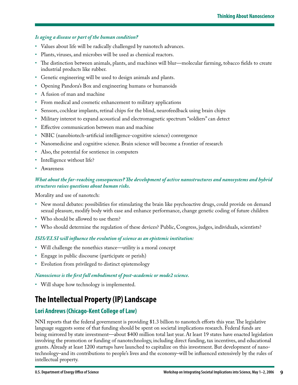#### *Is aging a disease or part of the human condition?*

- Values about life will be radically challenged by nanotech advances. •
- Plants, viruses, and microbes will be used as chemical reactors.
- $\bullet$  The distinction between animals, plants, and machines will blur—molecular farming, tobacco fields to create industrial products like rubber.
- Genetic engineering will be used to design animals and plants.
- Opening Pandora's Box and engineering humans or humanoids •
- A fusion of man and machine
- From medical and cosmetic enhancement to military applications
- Sensors, cochlear implants, retinal chips for the blind, neurofeedback using brain chips •
- Military interest to expand acoustical and electromagnetic spectrum "soldiers" can detect •
- Effective communication between man and machine
- NBIC (nanobiotech-artificial intelligence-cognitive science) convergence •
- Nanomedicine and cognitive science. Brain science will become a frontier of research •
- Also, the potential for sentience in computers
- Intelligence without life?
- Awareness •

#### *What about the far-reaching consequences? The development of active nanostructures and nanosystems and hybrid structures raises questions about human risks.*

Morality and use of nanotech:

- New moral debates: possibilities for stimulating the brain like psychoactive drugs, could provide on demand sexual pleasure, modify body with ease and enhance performance, change genetic coding of future children
- Who should be allowed to use them?
- Who should determine the regulation of these devices? Public, Congress, judges, individuals, scientists? •

#### *ISIS/ELSI will influence the evolution of science as an epistemic institution:*

- Will challenge the nonethics stance—utility is a moral concept •
- Engage in public discourse (participate or perish)
- Evolution from privileged to distinct epistemology •

#### *Nanoscience is the first full embodiment of post-academic or mode2 science.*

Will shape how technology is implemented. •

# **The Intellectual Property (IP) Landscape**

### **Lori Andrews (Chicago-Kent College of Law)**

NNI reports that the federal government is providing \$1.3 billion to nanotech efforts this year. The legislative language suggests some of that funding should be spent on societal implications research. Federal funds are being mirrored by state investment—about \$400 million total last year. At least 19 states have enacted legislation involving the promotion or funding of nanotechnology, including direct funding, tax incentives, and educational grants. Already at least 1200 startups have launched to capitalize on this investment. But development of nanotechnology–and its contributions to people's lives and the economy–will be influenced extensively by the rules of intellectual property.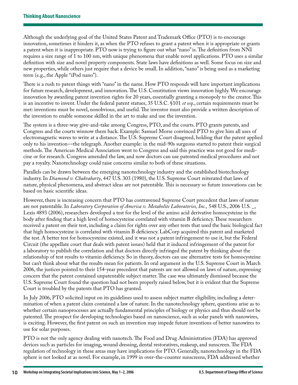Although the underlying goal of the United States Patent and Trademark Office (PTO) is to encourage innovation, sometimes it hinders it, as when the PTO refuses to grant a patent when it is appropriate or grants a patent when it is inappropriate. PTO now is trying to figure out what "nano" is. The definition from NNI requires a size range of 1 to 100 nm, with unique phenomena that enable novel applications. PTO uses a similar definition with size and novel property components. State laws have definitions as well. Some focus on size and new properties, while others just require that a device be small. In addition, "nano" is being used as a marketing term (e.g., the Apple "iPod nano").

There is a rush to patent things with "nano" in the name. How PTO responds will have important implications for future research, development, and innovation. The U.S. Constitution views innovation highly. We encourage innovation by awarding patent invention rights for 20 years, essentially granting a monopoly to the creator. This is an incentive to invent. Under the federal patent statues, 35 U.S.C. §101 *et seq*., certain requirements must be met: inventions must be novel, nonobvious, and useful. The inventor must also provide a written description of the invention to enable someone skilled in the art to make and use the invention.

The system is a three-way give-and-take among Congress, PTO, and the courts. PTO grants patents, and Congress and the courts winnow them back. Example: Samuel Morse convinced PTO to give him all uses of electromagnetic waves to write at a distance. The U.S. Supreme Court disagreed, holding that the patent applied only to his invention—the telegraph. Another example: in the mid-90s surgeons started to patent their surgical methods. The American Medical Association went to Congress and said this practice was not good for medicine or for research. Congress amended the law, and now doctors can use patented medical procedures and not pay a royalty. Nanotechnology could raise concerns similar to both of these situations.

Parallels can be drawn between the emerging nanotechnology industry and the established biotechnology industry. In *Diamond v. Chakrabarty*, 447 U.S. 303 (1980), the U.S. Supreme Court reiterated that laws of nature, physical phenomena, and abstract ideas are not patentable. This is necessary so future innovations can be based on basic scientific ideas.

However, there is increasing concern that PTO has contravened Supreme Court precedent that laws of nature are not patentable. In *Laboratory Corporation of America v. Metabolite Laboratories, Inc.,* 548 U.S., 2006 U.S. \_, Lexis 4893 (2006), researchers developed a test for the level of the amino acid derivative homocysteine in the body after finding that a high level of homocysteine correlated with vitamin B deficiency. These researchers received a patent on their test, including a claim for rights over any other tests that used the basic biological fact that high homocysteine is correlated with vitamin B deficiency. LabCorp acquired this patent and marketed the test. A better test for homocysteine existed, and it was not a patent infringement to use it, but the Federal Circuit (the appellate court that deals with patent issues) held that it induced infringement of the patent for a laboratory to publish the correlation and that doctors directly infringed the patent by thinking about the relationship of test results to vitamin deficiency. So in theory, doctors can use alternative tests for homocysteine but can't think about what the results mean for patients. In oral argument in the U.S. Supreme Court in March 2006, the justices pointed to their 154-year precedent that patents are not allowed on laws of nature, expressing concern that the patent contained unpatentable subject matter. The case was ultimately dismissed because the U.S. Supreme Court found the question had not been properly raised below, but it is evident that the Supreme Court is troubled by the patents that PTO has granted.

In July 2006, PTO solicited input on its guidelines used to assess subject matter eligibility, including a determination of when a patent claim contained a law of nature. In the nanotechnology sphere, questions arise as to whether certain nanoprocesses are actually fundamental principles of biology or physics and thus should not be patented. The prospect for developing technologies based on nanoscience, such as solar panels with nanowires, is exciting. However, the first patent on such an invention may impede future inventions of better nanowires to use for solar purposes.

PTO is not the only agency dealing with nanotech. The Food and Drug Administration (FDA) has approved devices such as particles for imaging, wound dressing, dental restoratives, makeup, and sunscreen. The FDA regulation of technology in these areas may have implications for PTO. Generally, nanotechnology in the FDA sphere is not looked at as novel. For example, in 1999 in over-the-counter sunscreens, FDA addressed whether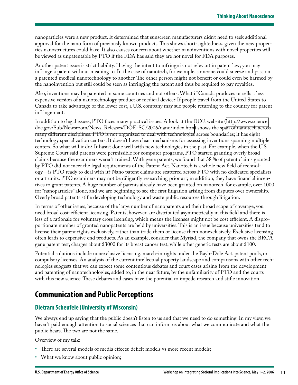nanoparticles were a new product. It determined that sunscreen manufacturers didn't need to seek additional approval for the nano form of previously known products. This shows short-sightedness, given the new properties nanostructures could have. It also causes concern about whether nanoinventions with novel properties will be viewed as unpatentable by PTO if the FDA has said they are not novel for FDA purposes.

Another patent issue is strict liability. Having the intent to infringe is not relevant in patent law; you may infringe a patent without meaning to. In the case of nanotech, for example, someone could sneeze and pass on a patented medical nanotechnology to another. The other person might not benefit or could even be harmed by the nanoinvention but still could be seen as infringing the patent and thus be required to pay royalties.

Also, inventions may be patented in some countries and not others. What if Canada produces or sells a less expensive version of a nanotechnology product or medical device? If people travel from the United States to Canada to take advantage of the lower cost, a U.S. company may sue people returning to the country for patent infringement.

In addition to legal issues, PTO faces many practical issues. A look at the DOE website ([http://www.science.](http://www.science.doe.gov/Sub/Newsroom/News_Releases/DOE-SC/2006/nano/index.htm) [doe.gov/Sub/Newsroom/News\\_Releases/DOE-SC/2006/nano/index.htm\)](http://www.science.doe.gov/Sub/Newsroom/News_Releases/DOE-SC/2006/nano/index.htm) shows the span of nanotech across many different disciplines. PTO is not organized to deal with technologies across boundaries; it has eight technology specialization centers. It doesn't have clear mechanisms for assessing inventions spanning multiple centers. So what will it do? It hasn't done well with new technologies in the past. For example, when the U.S. Supreme Court said patents were permissible for computer programs, PTO started granting overly broad claims because the examiners weren't trained. With gene patents, we found that 38 % of patent claims granted by PTO did not meet the legal requirements of the Patent Act. Nanotech is a whole new field of technology—is PTO ready to deal with it? Nano patent claims are scattered across PTO with no dedicated specialists or art units. PTO examiners may not be diligently researching prior art; in addition, they have financial incentives to grant patents. A huge number of patents already have been granted on nanotech, for example, over 1000 for "nanoparticles" alone, and we are beginning to see the first litigation arising from disputes over ownership. Overly broad patents stifle developing technology and waste public resources through litigation.

In terms of other issues, because of the large number of nanopatents and their broad scope of coverage, you need broad cost-efficient licensing. Patents, however, are distributed asymmetrically in this field and there is less of a rationale for voluntary cross licensing, which means the licenses might not be cost efficient. A disproportionate number of granted nanopatents are held by universities. This is an issue because universities tend to license their patent rights exclusively, rather than trade them or license them nonexclusively. Exclusive licensing often leads to expensive end products. As an example, consider that Myriad, the company that owns the BRCA gene patent test, charges about \$3000 for its breast cancer test, while other genetic tests are about \$100.

Potential solutions include nonexclusive licensing, march-in rights under the Bayh-Dole Act, patent pools, or compulsory licenses. An analysis of the current intellectual property landscape and comparisons with other technologies suggests that we can expect some contentious debates and court cases arising from the development and patenting of nanotechnologies, added to, in the near future, by the unfamiliarity of PTO and the courts with this new science. These debates and cases have the potential to impede research and stifle innovation.

# **Communication and Public Perceptions**

### **Dietram Scheufele (University of Wisconsin)**

We always end up saying that the public doesn't listen to us and that we need to do something. In my view, we haven't paid enough attention to social sciences that can inform us about what we communicate and what the public hears. The two are not the same.

Overview of my talk:

- There are several models of media effects: deficit models vs more recent models; •
- What we know about public opinion; •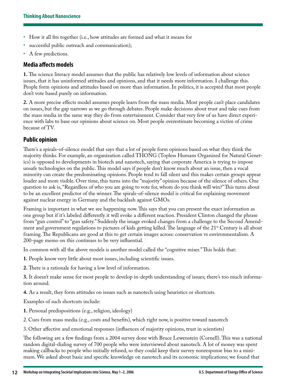- How it all fits together (i.e., how attitudes are formed and what it means for •
- successful public outreach and communication); •
- A few predictions.

### **Media affects models**

**1.** The science literacy model assumes that the public has relatively low levels of information about science issues, that it has uninformed attitudes and opinions, and that it needs more information. I challenge this. People form opinions and attitudes based on more than information. In politics, it is accepted that most people don't vote based purely on information.

**2.** A more precise effects model assumes people learn from the mass media. Most people can't place candidates on issues, but the gap narrows as we go through debates. People make decisions about trust and take cues from the mass media in the same way they do from entertainment. Consider that very few of us have direct experience with labs to base our opinions about science on. Most people overestimate becoming a victim of crime because of TV.

# **Public opinion**

There's a spirals-of-silence model that says that a lot of people form opinions based on what they think the majority thinks. For example, an organization called THONG (Topless Humans Organized for Natural Genetics) is opposed to developments in biotech and nanotech, saying that corporate America is trying to impose unsafe technologies on the public. This model says if people don't know much about an issue, then a vocal minority can create the predominating opinions. People tend to fall silent and this makes certain groups appear louder and more visible. Over time, this turns into the "majority" opinion because of the silence of others. One question to ask is, "Regardless of who you are going to vote for, whom do you think will win?" This turns about to be an excellent predictor of the winner. The spirals-of-silence model is critical for explaining movement against nuclear energy in Germany and the backlash against GMOs.

Framing is important in what we see happening now. This says that you can present the exact information as one group but if it's labeled differently it will evoke a different reaction. President Clinton changed the phrase from "gun control" to "gun safety." Suddenly the image evoked changes from a challenge to the Second Amendment and government regulations to pictures of kids getting killed. The language of the 21<sup>st</sup> Century is all about framing. The Republicans are good at this to get certain images across: conservation vs environmentalism. A 200-page memo on this continues to be very influential.

In common with all the above models is another model called the "cognitive miser." This holds that:

- **1.** People know very little about most issues, including scientific issues.
- **2.** There is a rationale for having a low level of information.

**3.** It doesn't make sense for most people to develop in-depth understanding of issues; there's too much information around.

**4.** As a result, they form attitudes on issues such as nanotech using heuristics or shortcuts.

Examples of such shortcuts include:

- **1.** Personal predispositions (e.g., religion, ideology)
- 2. Cues from mass media (e.g., costs and benefits), which right now, is positive toward nanotech

3. Other affective and emotional responses (influences of majority opinions, trust in scientists)

The following are a few findings from a 2004 survey done with Bruce Lewenstein (Cornell). This was a national random digital-dialing survey of 700 people who were interviewed about nanotech. A lot of money was spent making callbacks to people who initially refused, so they could keep their survey nonresponse bias to a minimum. We asked about basic and specific knowledge on nanotech and its economic implications; we found that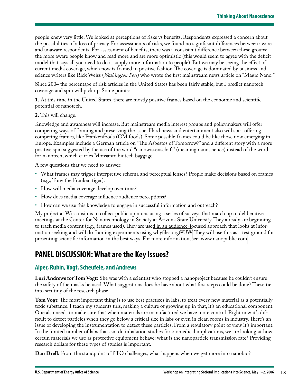people knew very little. We looked at perceptions of risks vs benefits. Respondents expressed a concern about the possibilities of a loss of privacy. For assessments of risks, we found no significant differences between aware and unaware respondents. For assessment of benefits, there was a consistent difference between these groups: the more aware people know and read more and are more optimistic (this would seem to agree with the deficit model that says all you need to do is supply more information to people). But we may be seeing the effect of current media coverage, which now is framed in positive fashion. The coverage is dominated by business and science writers like Rick Weiss (*Washington Post*) who wrote the first mainstream news article on "Magic Nano."

Since 2004 the percentage of risk articles in the United States has been fairly stable, but I predict nanotech coverage and spin will pick up. Some points:

**1.** At this time in the United States, there are mostly positive frames based on the economic and scientific potential of nanotech.

**2.** This will change.

Knowledge and awareness will increase. But mainstream media interest groups and policymakers will offer competing ways of framing and preserving the issue. Hard news and entertainment also will start offering competing frames, like Frankenfoods (GM foods). Some possible frames could be like those now emerging in Europe. Examples include a German article on "The Asbestos of Tomorrow?" and a different story with a more positive spin suggested by the use of the word "nanowissenschaft" (meaning nanoscience) instead of the word for nanotech, which carries Monsanto biotech baggage.

A few questions that we need to answer:

- What frames may trigger interpretive schema and perceptual lenses? People make decisions based on frames (e.g., Tony the Franken tiger).
- How will media coverage develop over time?
- How does media coverage influence audience perceptions?
- How can we use this knowledge to engage in successful information and outreach?

My project at Wisconsin is to collect public opinions using a series of surveys that match up to deliberative meetings at the Center for Nanotechnology in Society at Arizona State University. They already are beginning to track media content (e.g., frames used). They are used in an audience-focused approach that looks at information seeking and will do framing experiments using [whyfiles.org@UW](mailto:whyfiles.org@UW). They will use this as a test ground for presenting scientific information in the best ways. For more information, see: [www.nanopublic.com.](http://www.nanopublic.com)

# **PANEL DISCUSSION: What are the Key Issues?**

#### **Alper, Rubin, Vogt, Scheufele, and Andrews**

**Lori Andrews for Tom Vogt:** She was with a scientist who stopped a nanoproject because he couldn't ensure the safety of the masks he used. What suggestions does he have about what first steps could be done? These tie into scrutiny of the research phase.

**Tom Vogt:** The most important thing is to use best practices in labs, to treat every new material as a potentially toxic substance. I teach my students this, making a culture of growing up in that, it's an educational component. One also needs to make sure that when materials are manufactured we have more control. Right now it's difficult to detect particles when they go below a critical size in labs or even in clean rooms in industry. There's an issue of developing the instrumentation to detect these particles. From a regulatory point of view it's important. In the limited number of labs that can do inhalation studies for biomedical implications, we are looking at how certain materials we use as protective equipment behave: what is the nanoparticle transmission rate? Providing research dollars for these types of studies is important.

**Dan Drell:** From the standpoint of PTO challenges, what happens when we get more into nanobio?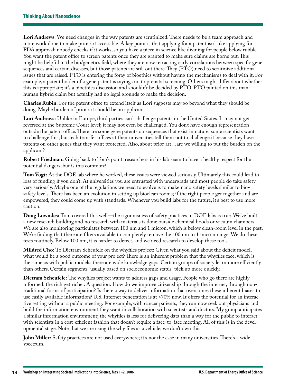**Lori Andrews**: We need changes in the way patents are scrutinized. There needs to be a team approach and more work done to make prior art accessible. A key point is that applying for a patent isn't like applying for FDA approval; nobody checks if it works, so you have a piece in science like divining for people below rubble. You want the patent office to screen patents once they are granted to make sure claims are borne out. This might be helpful in the bio/genetics field, where they are now retracting early correlations between specific gene sequences and certain diseases, but those patents are still out there. They (PTO) need to scrutinize additional issues that are raised. PTO is entering the foray of bioethics without having the mechanisms to deal with it. For example, a patent holder of a gene patent is sayings no to prenatal screening. Others might differ about whether this is appropriate; it's a bioethics discussion and shouldn't be decided by PTO. PTO punted on this manhuman hybrid claim but actually had no legal grounds to make the decision.

**Charles Rubin**: For the patent office to extend itself as Lori suggests may go beyond what they should be doing. Maybe burden of prior art should be on applicant.

**Lori Andrews:** Unlike in Europe, third parties can't challenge patents in the United States. It may not get reversed at the Supreme Court level; it may not even be challenged. You don't have enough representation outside the patent office. There are some gene patents on sequences that exist in nature; some scientists want to challenge this, but tech transfer offices at their universities tell them not to challenge it because they have patents on other genes that they want protected. Also, about prior art…are we willing to put the burden on the applicant?

**Robert Friedman:** Going back to Tom's point: researchers in his lab seem to have a healthy respect for the potential dangers, but is this common?

**Tom Vogt:** At the DOE lab where he worked, these issues were viewed seriously. Ultimately this could lead to loss of funding if you don't. At universities you are entrusted with undergrads and most people do take safety very seriously. Maybe one of the regulations we need to evolve is to make nano safety levels similar to biosafety levels. There has been an evolution in setting up bioclean rooms; if the right people get together and are empowered, they could come up with standards. Whenever you build labs for the future, it's best to use more caution.

**Doug Lowndes:** Tom covered this well—the rigorousness of safety practices in DOE labs is true. We've built a new research building and no research with materials is done outside chemical hoods or vacuum chambers. We are also monitoring particulates between 100 nm and 1 micron, which is below clean-room level in the past. We're finding that there are filters available to completely remove the 100 nm to 1 micron range. We do these tests routinely. Below 100 nm, it is harder to detect, and we need research to develop these tools.

**Mildred Cho:** To Dietram Scheufele on the whyfiles project: Given what you said about the deficit model, what would be a good outcome of your project? There is an inherent problem that the whyfiles face, which is the same as with public models: there are wide knowledge gaps. Certain groups of society learn more efficiently than others. Certain segments–usually based on socioeconomic status–pick up more quickly.

**Dietram Scheufele:** The whyfiles project wants to address gaps and usage. People who go there are highly informed: the rich get richer. A question: How do we improve citizenship through the internet, through nontraditional forms of participation? Is there a way to deliver information that overcomes these inherent biases to use easily available information? U.S. Internet penetration is at >70% now. It offers the potential for an interactive setting without a public meeting. For example, with cancer patients, they can now seek out physicians and build the information environment they want in collaboration with scientists and doctors. My group anticipates a similar information environment; the whyfiles is less for delivering data than a way for the public to interact with scientists in a cost-efficient fashion that doesn't require a face-to-face meeting. All of this is in the developmental stage. Note that we are using the why files as a vehicle; we don't own this.

**John Miller:** Safety practices are not used everywhere; it's not the case in many universities. There's a wide spectrum.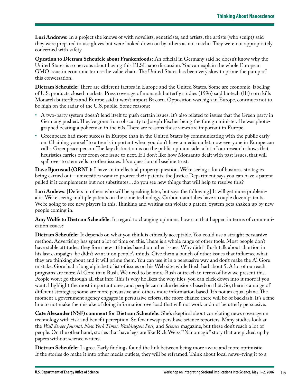**Lori Andrews:** In a project she knows of with novelists, geneticists, and artists, the artists (who sculpt) said they were prepared to use gloves but were looked down on by others as not macho. They were not appropriately concerned with safety.

**Question to Dietram Scheufele about Frankenfoods:** An official in Germany said he doesn't know why the United States is so nervous about having this ELSI nano discussion. You can explain the whole European GMO issue in economic terms–the value chain. The United States has been very slow to prime the pump of this conversation.

**Dietram Scheufele:** There are different factors in Europe and the United States. Some are economic–labeling of U.S. products closed markets. Press coverage of monarch butterfly studies (1996) said biotech (Bt) corn kills Monarch butterflies and Europe said it won't import Bt corn. Opposition was high in Europe, continues not to be high on the radar of the U.S. public. Some reasons:

- A two-party system doesn't lend itself to push certain issues. It's also related to issues that the Green party in Germany pushed. They've gone from obscurity to Joseph Fischer being the foreign minister. He was photographed beating a policeman in the 60s. There are reasons those views are important in Europe.
- Greenpeace had more success in Europe than in the United States by communicating with the public early on. Chaining yourself to a tree is important when you don't have a media outlet; now everyone in Europe can call a Greenpeace person. The key distinction is on the public opinion side; a lot of our research shows that heuristics carries over from one issue to next. If I don't like how Monsanto dealt with past issues, that will spill over to stem cells to other issues. It's a question of baseline trust.

**Dave Bjornstad (ORNL):** I have an intellectual property question. We're seeing a lot of business strategies being carried out—universities want to protect their patents, the Justice Department says you can have a patent pulled if it complements but not substitutes…do you see new things that will help to resolve this?

**Lori Andews**: [Defers to others who will be speaking later, but says the following] It will get more problematic. We're seeing multiple patents on the same technology. Carbon nanotubes have a couple dozen patents. We're going to see new players in this. Thinking and writing can violate a patent. System gets shaken up by new people coming in.

**Amy Wolfe to Dietram Scheufele**: In regard to changing opinions, how can that happen in terms of communication issues?

**Dietram Scheufele:** It depends on what you think is ethically acceptable. You could use a straight persuasive method. Advertising has spent a lot of time on this. There is a whole range of other tools. Most people don't have stable attitudes; they form new attitudes based on other issues. Why didn't Bush talk about abortion in his last campaign–he didn't want it on people's minds. Give them a bunch of other issues that influence what they are thinking about and it will prime them. You can use it in a persuasive way and don't make the Al Gore mistake. Gore had a long alphabetic list of issues on his Web site, while Bush had about 5. A lot of outreach programs are more Al Gore than Bush. We need to be more Bush outreach in terms of how we present this. People won't go through all that info. This is why he likes the why files–you can click down into it more if you want. Highlight the most important ones, and people can make decisions based on that. So, there is a range of different strategies; some are more persuasive and others more information based. It's not an equal plane. The moment a government agency engages in persuasive efforts, the more chance there will be of backlash. It's a fine line to not make the mistake of doing information overload that will not work and not be utterly persuasive.

**Cate Alexander (NSF) comment for Dietram Scheufele:** She's skeptical about correlating news coverage on technology with risk and benefit perception. So few newspapers have science reporters. Many studies look at the *Wall Street Journal, New York Times, Washington Post,* and *Science* magazine, but these don't reach a lot of people. On the other hand, stories that have legs are like Rick Weiss' "Nanomagic" story that are picked up by papers without science writers.

**Dietram Scheufele:** I agree. Early findings found the link between being more aware and more optimistic. If the stories do make it into other media outlets, they will be reframed. Think about local news–tying it to a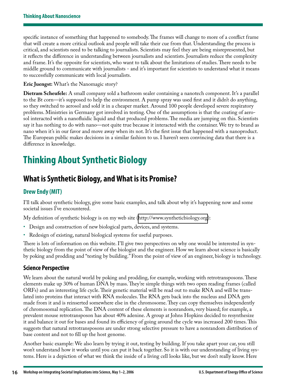specific instance of something that happened to somebody. The frames will change to more of a conflict frame that will create a more critical outlook and people will take their cue from that. Understanding the process is critical, and scientists need to be talking to journalists. Scientists may feel they are being misrepresented, but it reflects the difference in understanding between journalists and scientists. Journalists reduce the complexity and frame. It's the opposite for scientists, who want to talk about the limitations of studies. There needs to be middle ground to communicate with journalists - and it's important for scientists to understand what it means to successfully communicate with local journalists.

#### **Eric Juengst:** What's the Nanomagic story?

**Dietram Scheufele:** A small company sold a bathroom sealer containing a nanotech component. It's a parallel to the Bt corn—it's supposed to help the environment. A pump spray was used first and it didn't do anything, so they switched to aerosol and sold it in a cheaper market. Around 100 people developed severe respiratory problems. Ministries in Germany got involved in testing. One of the assumptions is that the coating of aerosol interacted with a nanofluidic liquid and that produced problems. The media are jumping on this. Scientists say it has nothing to do with nano—not quite true because it interacted with the container. We try to brand as nano when it's in our favor and move away when its not. It's the first issue that happened with a nanoproduct. The European public makes decisions in a similar fashion to us. I haven't seen convincing data that there is a difference in knowledge.

# **Thinking About Synthetic Biology**

# **What is Synthetic Biology, and What is its Promise?**

# **Drew Endy (MIT)**

I'll talk about synthetic biology, give some basic examples, and talk about why it's happening now and some societal issues I've encountered.

My definition of synthetic biology is on my web site [\(http://www.syntheticbiology.org\)](http://www.syntheticbiology.org):

- Design and construction of new biological parts, devices, and systems. •
- Redesign of existing, natural biological systems for useful purposes.

There is lots of information on this website. I'll give two perspectives on why one would be interested in synthetic biology from the point of view of the biologist and the engineer. How we learn about science is basically by poking and prodding and "testing by building." From the point of view of an engineer, biology is technology.

### **Science Perspective**

We learn about the natural world by poking and prodding, for example, working with retrotransposons. These elements make up 30% of human DNA by mass. They're simple things with two open reading frames (called ORFs) and an interesting life cycle. Their genetic material will be read out to make RNA and will be translated into proteins that interact with RNA molecules. The RNA gets back into the nucleus and DNA gets made from it and is reinserted somewhere else in the chromosome. They can copy themselves independently of chromosomal replication. The DNA content of these elements is nonrandom, very biased; for example, a prevalent mouse retrotransposon has about 40% adenine. A group at Johns Hopkins decided to resynthesize it and balance it out for bases and found its efficiency of going around the cycle was increased 200 times. This suggests that natural retrotransposons are under strong selective pressure to have a nonrandom distribution of base content and not to fill up the host genome.

Another basic example: We also learn by trying it out, testing by building. If you take apart your car, you still won't understand how it works until you can put it back together. So it is with our understanding of living systems. Here is a depiction of what we think the inside of a living cell looks like, but we don't really know. Here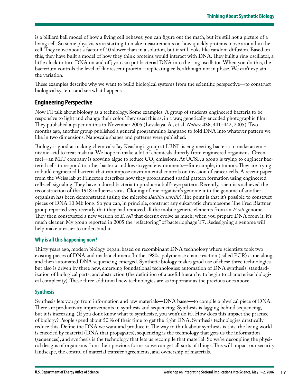is a billiard ball model of how a living cell behaves; you can figure out the math, but it's still not a picture of a living cell. So some physicists are starting to make measurements on how quickly proteins move around in the cell. They move about a factor of 10 slower than in a solution, but it still looks like random diffusion. Based on this, they have built a model of how they think proteins would interact with DNA. They built a ring oscillator, a little clock to turn DNA on and off; you can put bacterial DNA into the ring oscillator. When you do this, the bacterium controls the level of fluorescent protein—replicating cells, although not in phase. We can't explain the variation.

These examples describe why we want to build biological systems from the scientific perspective—to construct biological systems and see what happens.

### **Engineering Perspective**

Now I'll talk about biology as a technology. Some examples: A group of students engineered bacteria to be responsive to light and change their color. They used this as, in a way, genetically encoded photographic film. They published a paper on this in November 2005 (Levskaya, A., et al. *Nature* **438**, 441–442, 2005). Two months ago, another group published a general programming language to fold DNA into whatever pattern we like in two dimensions. Nanoscale shapes and patterns were published.

Biology is good at making chemicals: Jay Keasling's group at LBNL is engineering bacteria to make arteminisinic acid to treat malaria. We hope to make a lot of chemicals directly from engineered organisms. Green fuel—an MIT company is growing algae to reduce  $CO_2$  emissions. At UCSF, a group is trying to engineer bacterial cells to respond to other bacteria and low-oxygen environments—for example, in tumors. They are trying to build engineered bacteria that can impose environmental controls on invasion of cancer cells. A recent paper from the Weiss lab at Princeton describes how they programmed spatial pattern formation using engineered cell-cell signaling. They have induced bacteria to produce a bull's eye pattern. Recently, scientists achieved the reconstruction of the 1918 influenza virus. Cloning of one organism's genome into the genome of another organism has been demonstrated (using the microbe *Bacillus subtilis*). The point is that it's possible to construct pieces of DNA 10 Mb long. So you can, in principle, construct any eukaryotic chromosome. The Fred Blattner group reported very recently that they had removed all the mobile genetic elements from an *E coli* genome. They then constructed a new version of *E. coli* that doesn't evolve as much; when you prepare DNA from it, it's much cleaner. My group reported in 2005 the "refactoring" of bacteriophage T7. Redesigning a genome will help make it easier to understand it.

#### **Why is all this happening now?**

Thirty years ago, modern biology began, based on recombinant DNA technology where scientists took two existing pieces of DNA and made a chimera. In the 1980s, polymerase chain reaction (called PCR) came along, and then automated DNA sequencing emerged. Synthetic biology makes good use of these three technologies but also is driven by three new, emerging foundational technologies: automation of DNA synthesis, standardization of biological parts, and abstraction (the definition of a useful hierarchy to begin to characterize biological complexity). These three additional new technologies are as important as the previous ones above.

#### **Synthesis**

Synthesis lets you go from information and raw materials—DNA bases—to compile a physical piece of DNA. There are productivity improvements in synthesis and sequencing. Synthesis is lagging behind sequencing, but it is increasing. (If you don't know what to synthesize, you won't do it). How does this impact the practice of biology? People spend about 50 % of their time to get the right DNA. Synthesis technologies drastically reduce this. Define the DNA we want and produce it. The way to think about synthesis is this: the living world is encoded by material (DNA that propagates); sequencing is the technology that gets us the information (sequences), and synthesis is the technology that lets us recompile that material. So we're decoupling the physical designs of organisms from their previous forms so we can get all sorts of things. This will impact our security landscape, the control of material transfer agreements, and ownership of materials.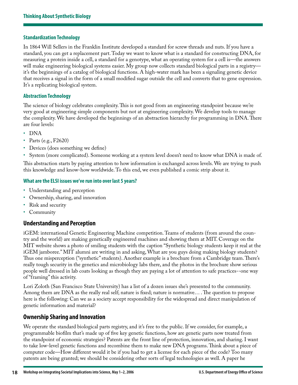#### **Standardization Technology**

In 1864 Will Sellers in the Franklin Institute developed a standard for screw threads and nuts. If you have a standard, you can get a replacement part. Today we want to know what is a standard for constructing DNA, for measuring a protein inside a cell, a standard for a genotype, what an operating system for a cell is—the answers will make engineering biological systems easier. My group now collects standard biological parts in a registry it's the beginnings of a catalog of biological functions. A high-water mark has been a signaling genetic device that receives a signal in the form of a small modified sugar outside the cell and converts that to gene expression. It's a replicating biological system.

#### **Abstraction Technology**

The science of biology celebrates complexity. This is not good from an engineering standpoint because we're very good at engineering simple components but not at engineering complexity. We develop tools to manage the complexity. We have developed the beginnings of an abstraction hierarchy for programming in DNA. There are four levels:

- DNA
- Parts (e.g., F2620)
- Devices (does something we define)
- System (more complicated). Someone working at a system level doesn't need to know what DNA is made of. •

This abstraction starts by paying attention to how information is exchanged across levels. We are trying to push this knowledge and know-how worldwide. To this end, we even published a comic strip about it.

#### **What are the ELSI issues we've run into over last 5 years?**

- Understanding and perception •
- Ownership, sharing, and innovation •
- Kisk and security
- Community •

#### **Understanding and Perception**

iGEM: international Genetic Engineering Machine competition. Teams of students (from around the country and the world) are making genetically engineered machines and showing them at MIT. Coverage on the MIT website shows a photo of smiling students with the caption "Synthetic biology students keep it real at the iGEM jamboree." MIT alumni are writing in and asking, What are you guys doing making biology students? Thus one misperception ("synthetic" students). Another example is a brochure from a Cambridge team. There's really tough security in the genetics and microbiology labs there, and the photos in the brochure show serious people well dressed in lab coats looking as though they are paying a lot of attention to safe practices--one way of "framing" this activity.

Lori Zoloth (San Francisco State University) has a list of a dozen issues she's presented to the community. Among them are DNA as the really real self; nature is fixed; nature is normative… . The question to propose here is the following: Can we as a society accept responsibility for the widespread and direct manipulation of genetic information and material?

#### **Ownership Sharing and Innovation**

We operate the standard biological parts registry, and it's free to the public. If we consider, for example, a programmable biofilm that's made up of five key genetic functions, how are genetic parts now treated from the standpoint of economic strategies? Patents are the front line of protection, innovation, and sharing. I want to take low-level genetic functions and recombine them to make new DNA programs. Think about a piece of computer code—How different would it be if you had to get a license for each piece of the code? Too many patents are being granted; we should be considering other sorts of legal technologies as well. A paper he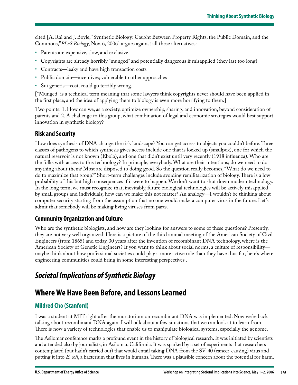cited [A. Rai and J. Boyle, "Synthetic Biology: Caught Between Property Rights, the Public Domain, and the Commons,"*PLoS Biology*, Nov. 6, 2006] argues against all these alternatives:

- Patents are expensive, slow, and exclusive.
- Copyrights are already horribly "munged" and potentially dangerous if misapplied (they last too long) •
- Contracts—leaky and have high transaction costs
- Public domain—incentives; vulnerable to other approaches •
- Sui generis—cost, could go terribly wrong.

["Munged" is a technical term meaning that some lawyers think copyrights never should have been applied in the first place, and the idea of applying them to biology is even more horrifying to them.]

Two points: 1. How can we, as a society, optimize ownership, sharing, and innovation, beyond consideration of patents and 2. A challenge to this group, what combination of legal and economic strategies would best support innovation in synthetic biology?

### **Risk and Security**

How does synthesis of DNA change the risk landscape? You can get access to objects you couldn't before. Three classes of pathogens to which synthesis gives access include one that is locked up (smallpox), one for which the natural reservoir is not known (Ebola), and one that didn't exist until very recently (1918 influenza). Who are the folks with access to this technology? In principle, everybody. What are their intentions; do we need to do anything about them? Most are disposed to doing good. So the question really becomes, "What do we need to do to maximize that group?" Short-term challenges include avoiding remilitarization of biology. There is a low probability of this but high consequences if it were to happen. We don't want to shut down modern technology. In the long term, we must recognize that, inevitably, future biological technologies will be actively misapplied by small groups and individuals; how can we make this not matter? An analogy—I wouldn't be thinking about computer security starting from the assumption that no one would make a computer virus in the future. Let's admit that somebody will be making living viruses from parts.

#### **Community Organization and Culture**

Who are the synthetic biologists, and how are they looking for answers to some of these questions? Presently, they are not very well organized. Here is a picture of the third annual meeting of the American Society of Civil Engineers (from 1865) and today, 30 years after the invention of recombinant DNA technology, where is the American Society of Genetic Engineers? If you want to think about social norms, a culture of responsibility maybe think about how professional societies could play a more active role than they have thus far; here's where engineering communities could bring in some interesting perspectives .

# *Societal Implications of Synthetic Biology*

# **Where We Have Been Before, and Lessons Learned**

### **Mildred Cho (Stanford)**

I was a student at MIT right after the moratorium on recombinant DNA was implemented. Now we're back talking about recombinant DNA again. I will talk about a few situations that we can look at to learn from. There is now a variety of technologies that enable us to manipulate biological systems, especially the genome.

The Asilomar conference marks a profound event in the history of biological research. It was initiated by scientists and attended also by journalists, in Asilomar, California. It was sparked by a set of experiments that researchers contemplated (but hadn't carried out) that would entail taking DNA from the SV-40 (cancer-causing) virus and putting it into *E. coli*, a bacterium that lives in humans. There was a plausible concern about the potential for harm.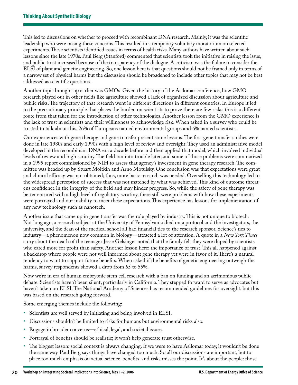This led to discussions on whether to proceed with recombinant DNA research. Mainly, it was the scientific leadership who were raising these concerns. This resulted in a temporary voluntary moratorium on selected experiments. These scientists identified issues in terms of health risks. Many authors have written about such lessons since the late 1970s. Paul Berg (Stanford) commented that scientists took the initiative in raising the issue, and public trust increased because of the transparency of the dialogue. A criticism was the failure to consider the ELSI of plant and genetic engineering. So, one lesson here is that questions should not be framed only in terms of a narrow set of physical harms but the discussion should be broadened to include other topics that may not be best addressed as scientific questions.

Another topic brought up earlier was GMOs. Given the history of the Asilomar conference, how GMO research played out in other fields like agriculture showed a lack of organized discussion about agriculture and public risks. The trajectory of that research went in different directions in different countries. In Europe it led to the precautionary principle that places the burden on scientists to prove there are few risks; this is a different route from that taken for the introduction of other technologies. Another lesson from the GMO experience is the lack of trust in scientists and their willingness to acknowledge risk. When asked in a survey who could be trusted to talk about this, 26% of Europeans named environmental groups and 6% named scientists.

Our experiences with gene therapy and gene transfer present some lessons. The first gene transfer studies were done in late 1980s and early 1990s with a high level of review and oversight. They used an administrative model developed in the recombinant DNA era a decade before and then applied that model, which involved individual levels of review and high scrutiny. The field ran into trouble later, and some of those problems were summarized in a 1995 report commissioned by NIH to assess that agency's investment in gene therapy research. The committee was headed up by Stuart Moltkin and Arno Motulsky. One conclusion was that expectations were great and clinical efficacy was not obtained; thus, more basic research was needed. Overselling this technology led to the widespread perception of success that was not matched by what was achieved. This kind of outcome threatens confidence in the integrity of the field and may hinder progress. So, while the safety of gene therapy was better ensured with a high level of regulatory scrutiny, there still were problems with how these experiments were portrayed and our inability to meet these expectations. This experience has lessons for implementation of any new technology such as nanotech.

Another issue that came up in gene transfer was the role played by industry. This is not unique to biotech. Not long ago, a research subject at the University of Pennsylvania died on a protocol and the investigators, the university, and the dean of the medical school all had financial ties to the research sponsor. Science's ties to industry—a phenomenon now common in biology—attracted a lot of attention. A quote in a *New York Times* story about the death of the teenager Jesse Gelsinger noted that the family felt they were duped by scientists who cared more for profit than safety. Another lesson here: the importance of trust. This all happened against a backdrop where people were not well informed about gene therapy yet were in favor of it. There's a natural tendency to want to support future benefits. When asked if the benefits of genetic engineering outweigh the harms, survey respondents showed a drop from 65 to 55%.

Now we're in era of human embryonic stem cell research with a ban on funding and an acrimonious public debate. Scientists haven't been silent, particularly in California. They stepped forward to serve as advocates but haven't taken on ELSI. The National Academy of Sciences has recommended guidelines for oversight, but this was based on the research going forward.

Some emerging themes include the following:

- Scientists are well served by initiating and being involved in ELSI. •
- Discussions shouldn't be limited to risks for humans but environmental risks also.
- Engage in broader concerns—ethical, legal, and societal issues. •
- Portrayal of benefits should be realistic; it won't help generate trust otherwise. •
- The biggest lesson: social context is always changing. If we were to have Asilomar today, it wouldn't be done the same way. Paul Berg says things have changed too much. So all our discussions are important, but to place too much emphasis on actual science, benefits, and risks misses the point. It's about the people: those •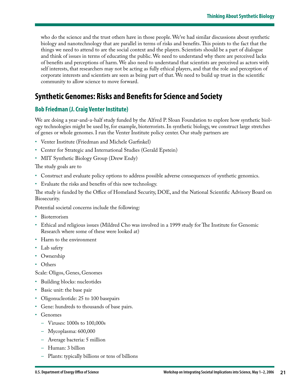who do the science and the trust others have in those people. We've had similar discussions about synthetic biology and nanotechnology that are parallel in terms of risks and benefits. This points to the fact that the things we need to attend to are the social context and the players. Scientists should be a part of dialogue and think of issues in terms of educating the public. We need to understand why there are perceived lacks of benefits and perceptions of harm. We also need to understand that scientists are perceived as actors with self interests, that researchers may not be acting as fully ethical players, and that the role and perception of corporate interests and scientists are seen as being part of that. We need to build up trust in the scientific community to allow science to move forward.

# **Synthetic Genomes: Risks and Benefits for Science and Society**

# **Bob Friedman (J. Craig Venter Institute)**

We are doing a year-and-a-half study funded by the Alfred P. Sloan Foundation to explore how synthetic biology technologies might be used by, for example, bioterrorists. In synthetic biology, we construct large stretches of genes or whole genomes. I run the Venter Institute policy center. Our study partners are

- Venter Institute (Friedman and Michele Garfinkel) •
- Center for Strategic and International Studies (Gerald Epstein) •
- MIT Synthetic Biology Group (Drew Endy) •

The study goals are to

- Construct and evaluate policy options to address possible adverse consequences of synthetic genomics. •
- Evaluate the risks and benefits of this new technology.

The study is funded by the Office of Homeland Security, DOE, and the National Scientific Advisory Board on Biosecurity.

Potential societal concerns include the following:

- Bioterrorism
- Ethical and religious issues (Mildred Cho was involved in a 1999 study for The Institute for Genomic Research where some of these were looked at)
- Harm to the environment
- Lab safety •
- Ownership •
- Others

Scale: Oligos, Genes, Genomes

- Building blocks: nucleotides
- Basic unit: the base pair
- Oligonucleotide: 25 to 100 basepairs •
- Gene: hundreds to thousands of base pairs.
- Genomes
	- Viruses: 1000s to 100,000s **–**
	- Mycoplasma: 600,000 **–**
	- Average bacteria: 5 million **–**
	- Human: 3 billion **–**
	- Plants: typically billions or tens of billions **–**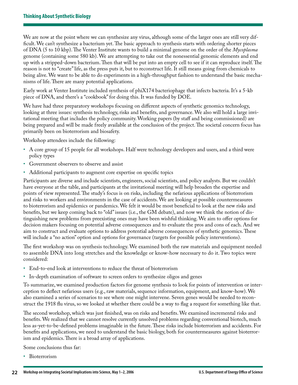We are now at the point where we can synthesize any virus, although some of the larger ones are still very difficult. We can't synthesize a bacterium yet. The basic approach to synthesis starts with ordering shorter pieces of DNA (5 to 10 kbp). The Venter Institute wants to build a minimal genome on the order of the *Mycoplasma* genome (containing some 580 kb). We are attempting to take out the nonessential genomic elements and end up with a stripped-down bacterium. Then that will be put into an empty cell to see if it can reproduce itself. The reason is not to "create" life, as the press puts it, but to reconstruct life. It still means going from chemicals to being alive. We want to be able to do experiments in a high-throughput fashion to understand the basic mechanisms of life. There are many potential applications.

Early work at Venter Institute included synthesis of phiX174 bacteriophage that infects bacteria. It's a 5-kb piece of DNA, and there's a "cookbook" for doing this. It was funded by DOE.

We have had three preparatory workshops focusing on different aspects of synthetic genomics technology, looking at three issues: synthesis technology, risks and benefits, and governance. We also will hold a large invitational meeting that includes the policy community. Working papers (by staff and being commissioned) are being prepared and will be made freely available at the conclusion of the project. The societal concern focus has primarily been on bioterrorism and biosafety.

Workshop attendees include the following:

- A core group of 15 people for all workshops. Half were technology developers and users, and a third were policy types
- Government observers to observe and assist
- Additional participants to augment core expertise on specific topics •

Participants are diverse and include scientists, engineers, social scientists, and policy analysts. But we couldn't have everyone at the table, and participants at the invitational meeting will help broaden the expertise and points of view represented. The study's focus is on risks, including the nefarious applications of bioterrorism and risks to workers and environments in the case of accidents. We are looking at possible countermeasures to bioterrorism and epidemics or pandemics. We felt it would be most beneficial to look at the new risks and benefits, but we keep coming back to "old" issues (i.e., the GM debate), and now we think the notion of distinguishing new problems from preexisting ones may have been wishful thinking. We aim to offer options for decision makers focusing on potential adverse consequences and to evaluate the pros and cons of each. And we aim to construct and evaluate options to address potential adverse consequences of synthetic genomics. These will include a "no action" option and options for governance (targets for possible policy interventions).

The first workshop was on synthesis technology. We examined both the raw materials and equipment needed to assemble DNA into long stretches and the knowledge or know-how necessary to do it. Two topics were considered:

- End-to-end look at interventions to reduce the threat of bioterrorism
- In-depth examination of software to screen orders to synthesize oligos and genes

To summarize, we examined production factors for genome synthesis to look for points of intervention or interception to deflect nefarious users (e.g., raw materials, sequence information, equipment, and know-how). We also examined a series of scenarios to see where one might intervene. Seven genes would be needed to reconstruct the 1918 flu virus, so we looked at whether there could be a way to flag a request for something like that.

The second workshop, which was just finished, was on risks and benefits. We examined incremental risks and benefits. We realized that we cannot resolve currently unsolved problems regarding conventional biotech, much less as-yet-to-be-defined problems imaginable in the future. These risks include bioterrorism and accidents. For benefits and applications, we need to understand the basic biology, both for countermeasures against bioterrorism and epidemics. There is a broad array of applications.

Some conclusions thus far:

Bioterrorism •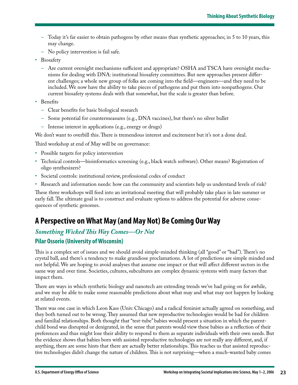- Today it's far easier to obtain pathogens by other means than synthetic approaches; in 5 to 10 years, this may change.
- No policy intervention is fail safe. **–**
- Biosafety
	- Are current oversight mechanisms sufficient and appropriate? OSHA and TSCA have oversight mecha-**–** nisms for dealing with DNA: institutional biosafety committees. But new approaches present different challenges; a whole new group of folks are coming into the field—engineers—and they need to be included. We now have the ability to take pieces of pathogens and put them into nonpathogens. Our current biosafety systems deals with that somewhat, but the scale is greater than before.
- Benefits
	- Clear benefits for basic biological research **–**
	- Some potential for countermeasures (e.g., DNA vaccines), but there's no silver bullet **–**
	- Intense interest in applications (e.g., energy or drugs) **–**

We don't want to overbill this. There is tremendous interest and excitement but it's not a done deal.

Third workshop at end of May will be on governance:

- Possible targets for policy intervention
- Technical controls—bioinformatics screening (e.g., black watch software). Other means? Registration of oligo synthesizers?
- Societal controls: institutional review, professional codes of conduct
- Research and information needs: how can the community and scientists help us understand levels of risk?

These three workshops will feed into an invitational meeting that will probably take place in late summer or early fall. The ultimate goal is to construct and evaluate options to address the potential for adverse consequences of synthetic genomes.

# **A Perspective on What May (and May Not) Be Coming Our Way**

# *Something Wicked This Way Comes—Or Not* **Pilar Ossorio (University of Wisconsin)**

This is a complex set of issues and we should avoid simple-minded thinking (all "good" or "bad"). There's no crystal ball, and there's a tendency to make grandiose proclamations. A lot of predictions are simple minded and not helpful. We are hoping to avoid analyses that assume one impact or that will affect different sectors in the same way and over time. Societies, cultures, subcultures are complex dynamic systems with many factors that impact them.

There are ways in which synthetic biology and nanotech are extending trends we've had going on for awhile, and we may be able to make some reasonable predictions about what may and what may not happen by looking at related events.

There was one case in which Leon Kass (Univ. Chicago) and a radical feminist actually agreed on something, and they both turned out to be wrong. They assumed that new reproductive technologies would be bad for children and familial relationships. Both thought that "test-tube" babies would present a situation in which the parentchild bond was disrupted or denigrated, in the sense that parents would view these babies as a reflection of their preferences and thus might lose their ability to respond to them as separate individuals with their own needs. But the evidence shows that babies born with assisted reproductive technologies are not really any different, and, if anything, there are some hints that there are actually better relationships. This teaches us that assisted reproductive technologies didn't change the nature of children. This is not surprising—when a much-wanted baby comes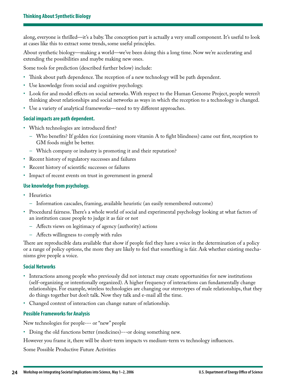along, everyone is thrilled—it's a baby. The conception part is actually a very small component. It's useful to look at cases like this to extract some trends, some useful principles.

About synthetic biology—making a world—we've been doing this a long time. Now we're accelerating and extending the possibilities and maybe making new ones.

Some tools for prediction (described further below) include:

- Think about path dependence. The reception of a new technology will be path dependent. •
- Use knowledge from social and cognitive psychology. •
- Look for and model effects on social networks. With respect to the Human Genome Project, people weren't thinking about relationships and social networks as ways in which the reception to a technology is changed.
- Use a variety of analytical frameworks—need to try different approaches. •

#### **Social impacts are path dependent.**

- Which technologies are introduced first?
	- Who benefits? If golden rice (containing more vitamin A to fight blindness) came out first, reception to **–** GM foods might be better.
	- Which company or industry is promoting it and their reputation? **–**
- Recent history of regulatory successes and failures •
- Recent history of scientific successes or failures
- Impact of recent events on trust in government in general

#### **Use knowledge from psychology.**

- Heuristics
	- Information cascades, framing, available heuristic (an easily remembered outcome) **–**
- Procedural fairness. There's a whole world of social and experimental psychology looking at what factors of an institution cause people to judge it as fair or not
	- Affects views on legitimacy of agency (authority) actions **–**
	- Affects willingness to comply with rules **–**

There are reproducible data available that show if people feel they have a voice in the determination of a policy or a range of policy options, the more they are likely to feel that something is fair. Ask whether existing mechanisms give people a voice.

#### **Social Networks**

- Interactions among people who previously did not interact may create opportunities for new institutions (self-organizing or intentionally organized). A higher frequency of interactions can fundamentally change relationships. For example, wireless technologies are changing our stereotypes of male relationships, that they do things together but don't talk. Now they talk and e-mail all the time.
- Changed context of interaction can change nature of relationship. •

#### **Possible Frameworks for Analysis**

New technologies for people--- or "new" people

• Doing the old functions better (medicines)---or doing something new.

However you frame it, there will be short-term impacts vs medium-term vs technology influences.

Some Possible Productive Future Activities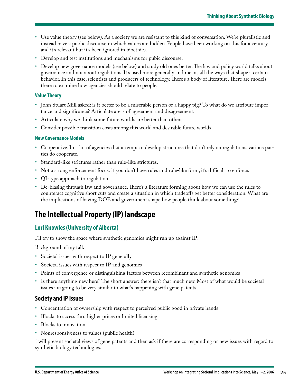- Use value theory (see below). As a society we are resistant to this kind of conversation. We're pluralistic and instead have a public discourse in which values are hidden. People have been working on this for a century and it's relevant but it's been ignored in bioethics.
- Develop and test institutions and mechanisms for pubic discourse. •
- Develop new governance models (see below) and study old ones better. The law and policy world talks about governance and not about regulations. It's used more generally and means all the ways that shape a certain behavior. In this case, scientists and producers of technology. There's a body of literature. There are models there to examine how agencies should relate to people.

#### **Value Theory**

- John Stuart Mill asked: is it better to be a miserable person or a happy pig? To what do we attribute impor-• tance and significance? Articulate areas of agreement and disagreement.
- Articulate why we think some future worlds are better than others. •
- Consider possible transition costs among this world and desirable future worlds. •

#### **New Governance Models**

- Cooperative. In a lot of agencies that attempt to develop structures that don't rely on regulations, various par-• ties do cooperate.
- Standard-like strictures rather than rule-like strictures.
- Not a strong enforcement focus. If you don't have rules and rule-like form, it's difficult to enforce. •
- QI-type approach to regulation. •
- De-biasing through law and governance. There's a literature forming about how we can use the rules to counteract cognitive short cuts and create a situation in which tradeoffs get better consideration. What are the implications of having DOE and government shape how people think about something?

# **The Intellectual Property (IP) landscape**

### **Lori Knowles (University of Alberta)**

I'll try to show the space where synthetic genomics might run up against IP.

Background of my talk

- Societal issues with respect to IP generally
- Societal issues with respect to IP and genomics
- Points of convergence or distinguishing factors between recombinant and synthetic genomics
- Is there anything new here? The short answer: there isn't that much new. Most of what would be societal issues are going to be very similar to what's happening with gene patents.

#### **Society and IP Issues**

- Concentration of ownership with respect to perceived public good in private hands •
- Blocks to access thru higher prices or limited licensing •
- Blocks to innovation •
- Nonresponsiveness to values (public health) •

I will present societal views of gene patents and then ask if there are corresponding or new issues with regard to synthetic biology technologies.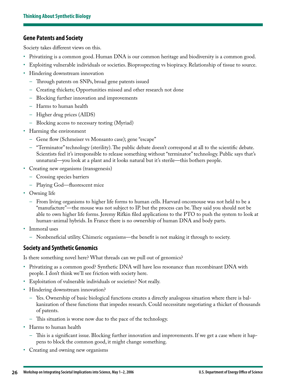### **Gene Patents and Society**

Society takes different views on this.

- Privatizing is a common good. Human DNA is our common heritage and biodiversity is a common good. •
- Exploiting vulnerable individuals or societies. Bioprospecting vs biopiracy. Relationship of tissue to source. •
- Hindering downstream innovation
	- Through patents on SNPs, broad gene patents issued
	- Creating thickets; Opportunities missed and other research not done **–**
	- Blocking further innovation and improvements **–**
	- Harms to human health **–**
	- Higher drug prices (AIDS) **–**
	- Blocking access to necessary testing (Myriad) **–**
- Harming the environment
	- Gene flow (Schmeiser vs Monsanto case); gene "escape" **–**
	- "Terminator" technology (sterility). The public debate doesn't correspond at all to the scientific debate. **–** Scientists feel it's irresponsible to release something without "terminator" technology. Public says that's unnatural—you look at a plant and it looks natural but it's sterile—this bothers people.
- Creating new organisms (transgenesis)
	- Crossing species barriers **–**
	- Playing God—fluorescent mice **–**
- Owning life
	- From living organisms to higher life forms to human cells. Harvard oncomouse was not held to be a **–** "manufacture"—the mouse was not subject to IP. but the process can be. They said you should not be able to own higher life forms. Jeremy Rifkin filed applications to the PTO to push the system to look at human-animal hybrids. In France there is no ownership of human DNA and body parts.
- Immoral uses
	- Nonbeneficial utility. Chimeric organisms—the benefit is not making it through to society. **–**

### **Society and Synthetic Genomics**

Is there something novel here? What threads can we pull out of genomics?

- Privatizing as a common good? Synthetic DNA will have less resonance than recombinant DNA with people. I don't think we'll see friction with society here. •
- Exploitation of vulnerable individuals or societies? Not really. •
- Hindering downstream innovation?
	- Yes. Ownership of basic biological functions creates a directly analogous situation where there is bal-**–** kanization of these functions that impedes research. Could necessitate negotiating a thicket of thousands of patents.
	- $-$  This situation is worse now due to the pace of the technology.
- Harms to human health
	- This is a significant issue. Blocking further innovation and improvements. If we get a case where it hap-**–** pens to block the common good, it might change something.
- Creating and owning new organisms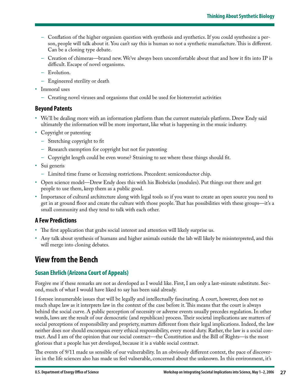- Conflation of the higher organism question with synthesis and synthetics. If you could synthesize a per-**–** son, people will talk about it. You can't say this is human so not a synthetic manufacture. This is different. Can be a cloning type debate.
- Creation of chimeras—brand new. We've always been uncomfortable about that and how it fits into IP is **–** difficult. Escape of novel organisms.
- Evolution. **–**
- Engineered sterility or death **–**
- Immoral uses
	- Creating novel viruses and organisms that could be used for bioterrorist activities **–**

### **Beyond Patents**

- We'll be dealing more with an information platform than the current materials platform. Drew Endy said ultimately the information will be more important, like what is happening in the music industry.
- Copyright or patenting
	- Stretching copyright to fit **–**
	- Research exemption for copyright but not for patenting **–**
	- Copyright length could be even worse? Straining to see where these things should fit. **–**
- Sui generis
	- Limited time frame or licensing restrictions. Precedent: semiconductor chip. **–**
- Open science model—Drew Endy does this with his Biobricks (modules). Put things out there and get people to use them, keep them as a public good.
- Importance of cultural architecture along with legal tools so if you want to create an open source you need to get in at ground floor and create the culture with those people. That has possibilities with these groups—it's a small community and they tend to talk with each other.

# **A Few Predictions**

- $\bullet$  The first application that grabs social interest and attention will likely surprise us.
- Any talk about synthesis of humans and higher animals outside the lab will likely be misinterpreted, and this will merge into cloning debates.

# **View from the Bench**

# **Susan Ehrlich (Arizona Court of Appeals)**

Forgive me if these remarks are not as developed as I would like. First, I am only a last-minute substitute. Second, much of what I would have liked to say has been said already.

I foresee innumerable issues that will be legally and intellectually fascinating. A court, however, does not so much shape law as it interprets law in the context of the case before it. This means that the court is always behind the social curve. A public perception of necessity or adverse events usually precedes regulation. In other words, laws are the result of our democratic (and republican) process. Their societal implications are matters of social perceptions of responsibility and propriety, matters different from their legal implications. Indeed, the law neither does nor should encompass every ethical responsibility, every moral duty. Rather, the law is a social contract. And I am of the opinion that our social contract—the Constitution and the Bill of Rights—is the most glorious that a people has yet developed, because it is a viable social contract.

The events of 9/11 made us sensible of our vulnerability. In an obviously different context, the pace of discoveries in the life sciences also has made us feel vulnerable, concerned about the unknown. In this environment, it's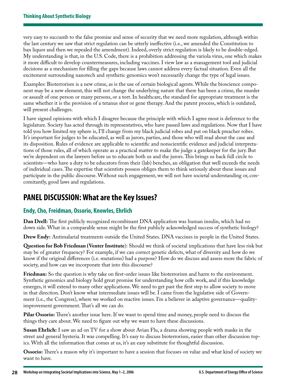very easy to succumb to the false promise and sense of security that we need more regulation, although within the last century we saw that strict regulation can be utterly ineffective (i.e., we amended the Constitution to ban liquor and then we repealed the amendment). Indeed, overly strict regulation is likely to be double-edged. My understanding is that, in the U.S. Code, there is a prohibition addressing the variola virus, one which makes it more difficult to develop countermeasures, including vaccines. I view law as a management tool and judicial decisions as a mechanism for filling the gaps because laws cannot address every factual situation. Even all the excitement surrounding nanotech and synthetic genomics won't necessarily change the type of legal issues.

Examples: Bioterrorism is a new crime, as is the use of certain biological agents. While the bioscience component may be a new element, this will not change the underlying nature that there has been a crime, the murder or assault of one person or many persons, or a tort. In healthcare, the standard for appropriate treatment is the same whether it is the provision of a tetanus shot or gene therapy. And the patent process, which is outdated, will present challenges.

I have signed opinions with which I disagree because the principle with which I agree most is deference to the legislature. Society has acted through its representatives, who have passed laws and regulations. Now that I have told you how limited my sphere is, I'll change from my black judicial robes and put on black preacher robes. It's important for judges to be educated, as well as jurors, parties, and those who will read about the case and its disposition. Rules of evidence are applicable to scientific and nonscientific evidence and judicial interpretations of those rules, all of which operate as a practical matter to make the judge a gatekeeper for the jury. But we're dependent on the lawyers before us to educate both us and the jurors. This brings us back full circle to scientists—who have a duty to be educators from their (lab) benches, an obligation that well exceeds the needs of individual cases. The expertise that scientists possess obliges them to think seriously about these issues and participate in the public discourse. Without such engagement, we will not have societal understanding or, concomitantly, good laws and regulations.

# **PANEL DISCUSSION: What are the Key Issues?**

# **Endy, Cho, Freidman, Ossorio, Knowles, Ehrlich**

**Dan Drell:** The first publicly recognized recombinant DNA application was human insulin, which had no down side. What in a comparable sense might be the first publicly acknowledged success of synthetic biology?

**Drew Endy:** Antimalarial treatments outside the United States. DNA vaccines in people in the United States.

**Question for Bob Friedman (Venter Institute**): Should we think of societal implications that have less risk but may be of greater frequency? For example, if we can correct genetic defects, what of diversity and how do we know if the original differences (i.e. mutations) had a purpose? How do we discuss and assess more the fabric of society, and how can we incorporate that into this discourse?

**Friedman:** So the question is why take on first-order issues like bioterrorism and harm to the environment. Synthetic genomics and biology hold great promise for understanding how cells work, and if this knowledge emerges, it will extend to many other applications. We need to get past the first step to allow society to move in that direction. Don't know what intermediate issues will be. I came from the legislative side of Government (i.e., the Congress), where we worked on reactive issues. I'm a believer in adaptive governance—qualityimprovement government. That's all we can do.

**Pilar Ossorio:** There's another issue here. If we want to spend time and money, people need to discuss the things they care about. We need to figure out why we want to have these discussions.

**Susan Ehrlich:** I saw an ad on TV for a show about Avian Flu, a drama showing people with masks in the street and general hysteria. It was compelling. It's easy to discuss bioterrorism, easier than other discussion topics. With all the information that comes at us, it's an easy substitute for thoughtful discussion.

**Ossorio:** There's a reason why it's important to have a session that focuses on value and what kind of society we want to have.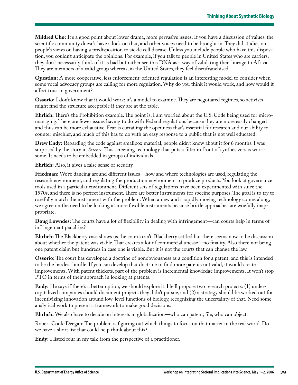**Mildred Cho:** It's a good point about lower drama, more pervasive issues. If you have a discussion of values, the scientific community doesn't have a lock on that, and other voices need to be brought in. They did studies on people's views on having a predisposition to sickle cell disease. Unless you include people who have this disposition, you couldn't anticipate the opinions. For example, if you talk to people in United States who are carriers, they don't necessarily think of it as bad but rather see this DNA as a way of validating their lineage to Africa. They are members of a valid group whereas, in the United States, they feel disenfranchised.

**Question:** A more cooperative, less enforcement-oriented regulation is an interesting model to consider when some vocal advocacy groups are calling for more regulation. Why do you think it would work, and how would it affect trust in government?

**Ossorio:** I don't know that it would work; it's a model to examine. They are negotiated regimes, so activists might find the structure acceptable if they are at the table.

**Ehrlich:** There's the Prohibition example. The point is, I am worried about the U.S. Code being used for micromanaging. There are fewer issues having to do with Federal regulations because they are more easily changed and thus can be more exhaustive. Fear is curtailing the openness that's essential for research and our ability to counter mischief, and much of this has to do with an easy response to a public that is not well educated.

**Drew Endy:** Regarding the code against smallpox material, people didn't know about it for 6 months. I was surprised by the story in *Science*. This screening technology that puts a filter in front of synthesizers is worrisome. It needs to be embedded in groups of individuals.

**Ehrlich:** Also, it gives a false sense of security.

**Friedman:** We're dancing around different issues—how and where technologies are used, regulating the research environment, and regulating the production environment to produce products. You look at governance tools used in a particular environment. Different sets of regulations have been experimented with since the 1970s, and there is no perfect instrument. There are better instruments for specific purposes. The goal is to try to carefully match the instrument with the problem. When a new and r rapidly moving technology comes along, we agree on the need to be looking at more flexible instruments because brittle approaches are woefully inappropriate.

**Doug Lowndes:** The courts have a lot of flexibility in dealing with infringement—can courts help in terms of infringement penalties?

**Ehrlich:** The Blackberry case shows us the courts can't. Blackberry settled but there seems now to be discussion about whether the patent was viable. That creates a lot of commercial unease—no finality. Also there not being one patent claim but hundreds in case one is viable. But it is not the courts that can change the law.

**Ossorio:** The court has developed a doctrine of nonobviousness as a condition for a patent, and this is intended to be the hardest hurdle. If you can develop that doctrine to find more patents not valid, it would create improvements. With patent thickets, part of the problem is incremental knowledge improvements. It won't stop PTO in terms of their approach in looking at patents.

**Endy:** He says if there's a better option, we should explore it. He'll propose two research projects: (1) undercapitalized companies should document projects they didn't pursue, and (2) a strategy should be worked out for incentivizing innovation around low-level functions of biology, recognizing the uncertainty of that. Need some analytical work to present a framework to make good decisions.

**Ehrlich:** We also have to decide on interests in globalization—who can patent, file, who can object.

Robert Cook-Deegan: The problem is figuring out which things to focus on that matter in the real world. Do we have a short list that could help think about this?

**Endy:** I listed four in my talk from the perspective of a practitioner.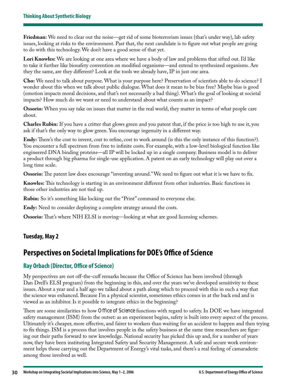Friedman: We need to clear out the noise—get rid of some bioterrorism issues (that's under way), lab safety issues, looking at risks to the environment. Past that, the next candidate is to figure out what people are going to do with this technology. We don't have a good sense of that yet.

**Lori Knowles:** We are looking at one area where we have a body of law and problems that sifted out. I'd like to take it further like biosafety convention on modified organisms—and extend to synthesized organisms. Are they the same, are they different? Look at the tools we already have, IP in just one area.

**Cho:** We need to talk about purpose. What is your purpose here? Preservation of scientists able to do science? I wonder about this when we talk about public dialogue. What does it mean to be bias free? Maybe bias is good (emotion impacts moral decisions, and that's not necessarily a bad thing). What's the goal of looking at societal impacts? How much do we want or need to understand about what counts as an impact?

**Ossorio:** When you say take on issues that matter in the real world, they matter in terms of what people care about.

**Charles Rubin:** If you have a critter that glows green and you patent that, if the price is too high to use it, you ask if that's the only way to glow green. You encourage ingenuity in a different way.

**Endy:** There's the cost to invent, cost to refine, cost to work around (is this the only instance of this function?). You encounter a full spectrum from free to infinite costs. For example, with a low-level biological function like engineered DNA binding proteins—all IP will be locked up in a single company. Business model is to deliver a product through big pharma for single-use application. A patent on an early technology will play out over a long time scale.

**Ossorio:** The patent law does encourage "inventing around." We need to figure out what it is we have to fix.

**Knowles:** This technology is starting in an environment different from other industries. Basic functions in those other industries are not tied up.

**Rubin:** So it's something like locking out the "Print" command to everyone else.

**Endy:** Need to consider deploying a complete strategy around the costs.

**Ossorio:** That's where NIH ELSI is moving—looking at what are good licensing schemes.

### **Tuesday, May 2**

# **Perspectives on Societal Implications for DOE's Office of Science**

### **Ray Orbach (Director, Office of Science)**

My perspectives are not off-the-cuff remarks because the Office of Science has been involved (through Dan Drell's ELSI program) from the beginning in this, and over the years we've developed sensitivity to these issues. About a year and a half ago we talked about a path along which to proceed with this in such a way that the science was enhanced. Because I'm a physical scientist, sometimes ethics comes in at the back end and is viewed as an inhibitor. Is it possible to integrate ethics in the beginning?

There are some similarities to how Office of Science functions with regard to safety. In DOE we have integrated safety management (ISM) from the outset: as an experiment begins, safety is built into every aspect of the process. Ultimately it's cheaper, more effective, and fairer to workers than waiting for an accident to happen and then trying to fix things. ISM is a process that involves people in the safety business at the same time researchers are figuring out their paths forward to new knowledge. National security has picked this up and, for a number of years now, they have been instituting Integrated Safety and Security Management. A safe and secure work environment helps those carrying out the Department of Energy's vital tasks, and there's a real feeling of camaraderie among those involved as well.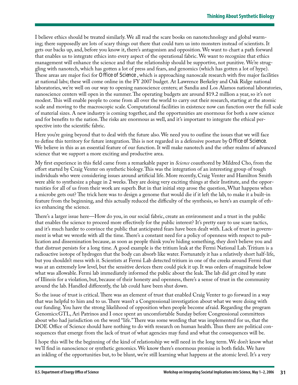I believe ethics should be treated similarly. We all read the scare books on nanotechnology and global warming; there supposedly are lots of scary things out there that could turn us into monsters instead of scientists. It gets our backs up, and, before you know it, there's antagonism and opposition. We want to chart a path forward that enables us to integrate ethics into every aspect of the operational fabric. We want to recognize that ethics management will enhance the science and that the relationship should be supportive, not punitive. We're struggling with nanotech, which has gotten a lot of press and fears, and genomics (which has gotten a lot of hype). These areas are major foci for Office of Science , which is approaching nanoscale research with five major facilities at national labs; these will come online in the FY 2007 budget. At Lawrence Berkeley and Oak Ridge national laboratories, we're well on our way to opening nanoscience centers; at Sandia and Los Alamos national laboratories, nanoscience centers will open in the summer. The operating budgets are around \$19.2 million a year, so it's not modest. This will enable people to come from all over the world to carry out their research, starting at the atomic scale and moving to the macroscopic scale. Computational facilities in existence now can function over the full scale of material sizes. A new industry is coming together, and the opportunities are enormous for both a new science and for benefits to the nation. The risks are enormous as well, and it's important to integrate the ethical perspective into the scientific fabric.

Here you're going beyond that to deal with the future also. We need you to outline the issues that we will face to define this territory for future integration. This is not regarded in a defensive posture by Office of Science. We believe in this as an essential feature of our function. It will make nanotech and the other realms of advanced science that we support a more exciting and productive area.

My first experience in this field came from a remarkable paper in *Science* coauthored by Mildred Cho, from the effort started by Craig Venter on synthetic biology. This was the integration of an interesting group of tough individuals who were considering issues around artificial life. More recently, Craig Venter and Hamilton Smith were able to synthesize a phage in 2 weeks. They are doing very exciting things at their Institute, and the opportunities for all of us from their work are superb. But in that initial step arose the question, What happens when a microbe gets out? The trick here was to design a genome that would die if it left the lab, to make it a built-in feature from the beginning, and this actually reduced the difficulty of the synthesis, so here's an example of ethics enhancing the science.

There's a larger issue here—How do you, in our social fabric, create an environment and a trust in the public that enables the science to proceed more effectively for the public interest? It's pretty easy to use scare tactics, and it's much harder to convince the public that anticipated fears have been dealt with. Lack of trust in government is what we wrestle with all the time. There's a constant need for a policy of openness with respect to publication and dissemination because, as soon as people think you're hiding something, they don't believe you and that distrust persists for a long time. A good example is the tritium leak at the Fermi National Lab. Tritium is a radioactive isotope of hydrogen that the body can absorb like water. Fortunately it has a relatively short half-life, but you shouldn't mess with it. Scientists at Fermi Lab detected tritium in one of the creeks around Fermi that was at an extremely low level, but the sensitive devices there could pick it up. It was orders of magnitude below what was allowable. Fermi lab immediately informed the public about the leak. The lab did get cited by state of Illinois for a violation, but, because of their honesty and openness, there's a sense of trust in the community around the lab. Handled differently, the lab could have been shut down.

So the issue of trust is critical. There was an element of trust that enabled Craig Venter to go forward in a way that was helpful to him and to us. There wasn't a Congressional investigation about what we were doing with our funding. You have the strong likelihood of opposition when people become afraid. Regarding the program Genomics:GTL, Ari Patrinos and I once spent an uncomfortable Sunday before Congressional committees about who had jurisdiction on the word "life." There was some wording that was implemented for us, that the DOE Office of Science should have nothing to do with research on human health. Thus there are political consequences that emerge from the lack of trust of what agencies may fund and what the consequences will be.

I hope this will be the beginning of the kind of relationship we will need in the long term. We don't know what we'll find in nanoscience or synthetic genomics. We know there's enormous promise in both fields. We have an inkling of the opportunities but, to be blunt, we're still learning what happens at the atomic level. It's a very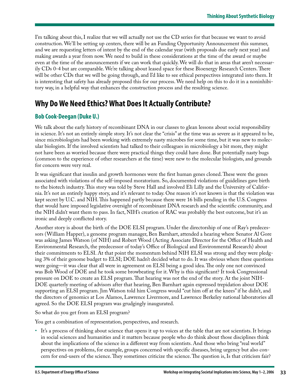I'm talking about this, I realize that we will actually not use the CD series for that because we want to avoid construction. We'll be setting up centers, there will be an Funding Opportunity Announcement this summer, and we are requesting letters of intent by the end of the calendar year (with proposals due early next year) and making awards a year from now. We need to build in these considerations at the time of the award or maybe even at the time of the announcements if we can work that quickly. We will do that in areas that aren't necessarily CDs 0-4 but are comparable. We're talking about leased space for these Bioenergy Research Centers. There will be other CDs that we will be going through, and I'd like to see ethical perspectives integrated into them. It is interesting that safety has already proposed this for our process. We need help on this to do it in a noninhibitory way, in a helpful way that enhances the construction process and the resulting science.

# **Why Do We Need Ethics? What Does It Actually Contribute?**

# **Bob Cook-Deegan (Duke U.)**

We talk about the early history of recombinant DNA in our classes to glean lessons about social responsibility in science. It's not an entirely simple story. It's not clear the "crisis" at the time was as severe as it appeared to be, since microbiologists had been working with extremely nasty microbes for some time, but it was new to molecular biologists. If the involved scientists had talked to their colleagues in microbiology a bit more, they might not have been as worried because there were practical things they could have done. But potentially nasty bugs (common to the experience of other researchers at the time) were new to the molecular biologists, and grounds for concern were very real.

It was significant that insulin and growth hormones were the first human genes cloned. These were the genes associated with violations of the self-imposed moratorium. So, documented violations of guidelines gave birth to the biotech industry. This story was told by Steve Hall and involved Eli Lilly and the University of California. It's not an entirely happy story, and it's relevant to today. One reason it's not known is that the violation was kept secret by U.C. and NIH. This happened partly because there were 16 bills pending in the U.S. Congress that would have imposed legislative oversight of recombinant DNA research and the scientific community, and the NIH didn't want them to pass. In fact, NIH's creation of RAC was probably the best outcome, but it's an ironic and deeply conflicted story.

Another story is about the birth of the DOE ELSI program. Under the directorship of one of Ray's predecessors (William Happer), a genome program manager, Ben Barnhart, attended a hearing where Senator Al Gore was asking James Watson (of NIH) and Robert Wood (Acting Associate Director for the Office of Health and Environmental Research, the predecessor of today's Office of Biological and Environmental Research) about their commitments to ELSI. At that point the momentum behind NIH ELSI was strong and they were pledging 3% of their genome budget to ELSI; DOE hadn't decided what to do. It was obvious where these questions were going—it was clear that all were in agreement on ELSI being a good idea. The only one not convinced was Bob Wood of DOE and he took some browbeating for it. Why is this significant? It took Congressional pressure on DOE to create an ELSI program. That hearing was not the end of the story. At the joint NIH-DOE quarterly meeting of advisors after that hearing, Ben Barnhart again expressed trepidation about DOE supporting an ELSI program. Jim Watson told him Congress would "cut him off at the knees" if he didn't, and the directors of genomics at Los Alamos, Lawrence Livermore, and Lawrence Berkeley national laboratories all agreed. So the DOE ELSI program was grudgingly inaugurated.

So what do you get from an ELSI program?

You get a combination of representation, perspectives, and research.

• It's a process of thinking about science that opens it up to voices at the table that are not scientists. It brings in social sciences and humanities and it matters because people who do think about those disciplines think about the implications of the science in a different way from scientists. And those who bring "real world" perspectives on problems, for example, groups concerned with specific diseases, bring urgency but also concern for end-users of the science. They sometimes criticize the science. The question is, Is that criticism fair?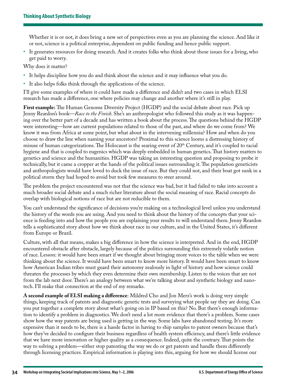Whether it is or not, it does bring a new set of perspectives even as you are planning the science. And like it or not, science is a political enterprise, dependent on public funding and hence public support.

It generates resources for doing research. And it creates folks who think about those issues for a living, who • get paid to worry.

Why does it matter?

- It helps discipline how you do and think about the science and it may influence what you do. •
- It also helps folks think through the applications of the science.

I'll give some examples of where it could have made a difference and didn't and two cases in which ELSI research has made a difference, one where policies may change and another where it's still in play.

**First example:** The Human Genome Diversity Project (HGDP) and the social debate about race. Pick up Jenny Reardon's book—*Race to the Finish*. She's an anthropologist who followed this study as it was happening over the better part of a decade and has written a book about the process. The questions behind the HGDP were interesting—how are current populations related to those of the past, and where do we come from? We know it was from Africa at some point, but what about in the intervening millennia? How and when do you choose to draw the line when naming your ancestors? Proximal to this science looms a distressing history of misuse of human categorizations. The Holocaust is the searing event of  $20<sup>th</sup>$  Century, and it's coupled to racial hygiene and that is coupled to eugenics which was deeply embedded in human genetics. That history matters to genetics and science and the humanities. HGDP was taking an interesting question and proposing to probe it technically, but it came a cropper at the hands of the political issues surrounding it. The population geneticists and anthropologists would have loved to duck the issue of race. But they could not, and their boat got sunk in a political storm they had hoped to avoid but took few measures to steer around.

The problem the project encountered was not that the science was bad, but it had failed to take into account a much broader social debate and a much richer literature about the social meaning of race. Racial concepts do overlap with biological notions of race but are not reducible to them.

You can't understand the significance of decisions you're making on a technological level unless you understand the history of the words you are using. And you need to think about the history of the concepts that your science is feeding into and how the people you are explaining your results to will understand them. Jenny Reardon tells a sophisticated story about how we think about race in our culture, and in the United States, it's different from Europe or Brazil.

Culture, with all that means, makes a big difference in how the science is interpreted. And in the end, HGDP encountered obstacle after obstacle, largely because of the politics surrounding this extremely volatile notion of race. Lesson: it would have been smart if we thought about bringing more voices to the table when we were thinking about the science. It would have been smart to know more history. It would have been smart to know how American Indian tribes must guard their autonomy zealously in light of history and how science could threaten the processes by which they even determine their own membership. Listen to the voices that are not from the lab next door. There's an analogy between what we're talking about and synthetic biology and nanotech. I'll make that connection at the end of my remarks.

**A second example of ELSI making a difference**: Mildred Cho and Jon Merz's work is doing very simple things, keeping track of patents and diagnostic genetic tests and surveying what people say they are doing. Can you put together a complete story about what's going on in IP based on this? No. But there's enough information to identify a problem in diagnostics. We don't need a lot more evidence that there's a problem. Some cases show how the way patents are being used is getting in the way. Some labs have abandoned testing. It's more expensive than it needs to be, there is a hassle factor in having to ship samples to patent owners because that's how they've decided to configure their business regardless of health system efficiency, and there's little evidence that we have more innovation or higher quality as a consequence. Indeed, quite the contrary. That points the way to solving a problem—either stop patenting the way we do or get patents and handle them differently through licensing practices. Empirical information is playing into this, arguing for how we should license our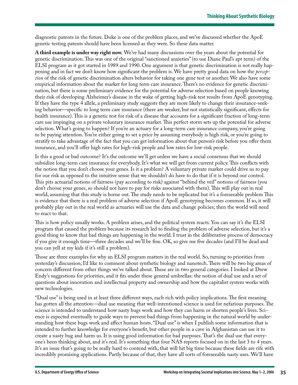diagnostic patents in the future. Duke is one of the problem places, and we've discussed whether the ApoE genetic testing patents should have been licensed as they were. So these data matter.

**A third example is under way right now.** We've had many discussions over the years about the potential for genetic discrimination. This was one of the original "sanctioned anxieties" (to use Diane Paul's apt term) of the ELSI program as it got started in 1989 and 1990. One argument is that genetic discrimination is not really happening and in fact we don't know how significant the problem is. We have pretty good data on how the *perception* of the risk of genetic discrimination alters behavior for taking one gene test or another. We also have some empirical information about the market for long term care insurance. There's no evidence for genetic discrimination, but there is some preliminary evidence for the potential for adverse selection based on people knowing their risk of developing Alzheimer's disease in the wake of getting high-risk test results from ApoE genotyping. If they have the type 4 allele, a preliminary study suggests they are more likely to change their insurance-seeking behavior—specific to long term care insurance (there are weaker, but not statistically significant, effects for health insurance). This is a genetic test for risk of a disease that accounts for a significant fraction of long-term care use impinging on a private voluntary insurance market. This perfect storm sets up the potential for adverse selection. What's going to happen? If you're an actuary for a long-term care insurance company, you're going to be paying attention. You're either going to set a price by assuming everybody is high risk, or you're going to stratify to take advantage of the fact that you can get information about that person's risk before you offer them insurance, and you'll offer high rates for high-risk people and low rates for low-risk people.

Is this a good or bad outcome? It's the outcome we'll get unless we have a social consensus that we should subsidize long-term care insurance for everybody. It's what we will get from current policy. This conflicts with the notion that you don't choose your genes. Is it a problem? A voluntary private market could drive us to pay for our risk as opposed to the intuitive sense that we shouldn't do have to do that if it is beyond our control. This pits actuarial notions of fairness (pay according to risk) against "behind the veil" notions of fairness (you don't choose your genes, so should not have to pay for risks associated with them). This will play out in real world, assuming that this study is borne out. The study needs to be replicated but it's a foreseeable problem This is evidence that there is a real problem of adverse selection if ApoE genotyping becomes common. If so, it will probably play out in the real world as actuaries will use the data and change policies; then the world will need to react to that.

This is how policy usually works. A problem arises, and the political system reacts. You can say it's the ELSI program that caused the problem because its research led to finding the problem of adverse selection, but it's a good thing to know that bad things are happening in the world. I trust in the deliberative process of democracy if you give it enough time—three decades and we'll be fine. OK, so give me five decades (and I'll be dead and you can yell at my kids if it's still a problem).

Those are three examples for why an ELSI program matters in the real world. So, turning to priorities from yesterday's discussion, I'd like to comment about synthetic biology and nanotech. There will be two big areas of concern different from other things we've talked about. These are in two general categories. I looked at Drew Endy's suggestions for priorities, and it fits under these general umbrellas: the notion of dual use and a set of questions about innovation and intellectual property and ownership and how the capitalist system works with new technologies.

"Dual use" is being used in at least three different ways, each rich with policy implications. The first meaning has gotten all the attention—dual use meaning that well-intentioned science is used for nefarious purposes. The science is intended to understand how nasty bugs work and how they can harm or shorten people's lives. Science is expected eventually to guide ways to prevent bad things from happening in the natural world by understanding how these bugs work and affect human hosts. "Dual use" is when I publish some information that is intended to further knowledge for everyone's benefit, but other people in a cave in Afghanistan can use it to create a nasty bug and harm us. It is using good information for bad purposes. That's the dual use that everyone's been thinking about, and it's real. It's something that four NAS reports focused on in the last 3 to 4 years. It's an issue that's going to be really hard to contend with, that will hit big time because these fields are rife with incredibly promising applications. Partly because of that, they have all sorts of foreseeable nasty uses. We'll have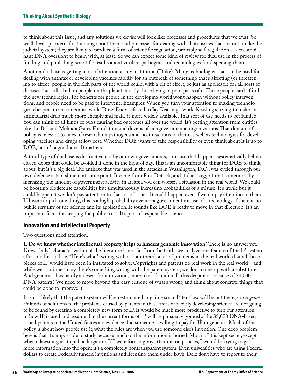to think about this issue, and any solutions we devise will look like processes and procedures that we trust. So we'll develop criteria for thinking about them and processes for dealing with those issues that are not unlike the judicial system; they are likely to produce a form of scientific regulation, probably self-regulation a la recombinant DNA oversight to begin with, at least. So we can expect some kind of review for dual use in the process of funding and publishing scientific results about virulent pathogens and technologies for dispersing them.

Another dual use is getting a lot of attention at my institution (Duke). Many technologies that can be used for dealing with anthrax or developing vaccines rapidly for an outbreak of something that's affecting (or threatening to affect) people in the rich parts of the world could, with a bit of effort, be just as applicable for all sorts of diseases that kill a billion people on the planet, mostly those living in poor parts of it. Those people can't afford the new technologies. The benefits for people in the developing world won't happen without policy interventions, and people need to be paid to intervene. Examples: When you turn your attention to making technologies cheaper, it can sometimes work. Drew Endy referred to Jay Keasling's work. Keasling's trying to make an antimalarial drug much more cheaply and make it more widely available. That sort of use needs to get funded. You can think of all kinds of bugs causing bad outcomes all over the world. It's getting attention from entities like the Bill and Melinda Gates Foundation and dozens of nongovernmental organizations. That domain of policy is relevant to lines of research on pathogens and host reactions to them as well as technologies for developing vaccines and drugs at low cost. Whether DOE wants to take responsibility or even think about it is up to DOE, but it's a good idea. It matters.

A third type of dual use is destructive use by our own governments, a misuse that happens systematically behind closed doors that could be avoided if done in the light of day. This is an uncomfortable thing for DOE to think about, but it's a big deal. The anthrax that was used in the attacks in Washington, D.C., was cycled through our own defense establishment at some point. It came from Fort Detrick, and it does suggest that sometimes by increasing the amount of government activity in an area you can worsen a situation in the real world. We could be boosting biodefense capabilities but simultaneously increasing probabilities of a misuse. It's ironic but it could happen if we don't pay attention to that set of issues. It could happen even if we do pay attention to them. If I were to pick one thing, this is a high-probability event—a government misuse of a technology if there is no public scrutiny of the science and its application. It sounds like DOE is ready to move in that direction. It's an important focus for keeping the public trust. It's part of responsible science.

### **Innovation and Intellectual Property**

Two questions need attention.

**1. Do we know whether intellectual property helps or hinders genomic innovation**? There is no answer yet. Drew Endy's characterization of the literature is not far from the truth: we analyze one feature of the IP system after another and say "Here's what's wrong with it," but there's a set of problems in the real world that all those pieces of IP would have been in instituted to solve. Copyrights and patents do real work in the real world—and while we continue to say there's something wrong with the patent system, we don't come up with a substitute. And genomics has hardly a desert for innovation, more like a fountain. Is this despite or because of 38,000 DNA patents? We need to move beyond this easy critique of what's wrong and think about concrete things that could be done to improve it.

It is not likely that the patent system will be restructured any time soon. Patent law will be out there, so *sui generis* kinds of solutions to the problems caused by patents in these areas of rapidly developing science are not going to be found by creating a completely new form of IP. It would be much more productive to turn our attention to how IP is used and assume that the current forms of IP will be pursued vigorously. The 38,000 DNA-based issued patents in the United States are evidence that someone is willing to pay for IP in genetics. Much of the policy is about how people use it, what the rules are when you use someone else's invention. One deep problem here is that it's impossible to study because much of the information is buried. Much of it is kept secret, except when a lawsuit goes to public litigation. If I were focusing my attention on policies, I would be trying to get more information into the open; it's a completely nontransparent system. Even universities who are using Federal dollars to create Federally funded inventions and licensing them under Bayh-Dole don't have to report to their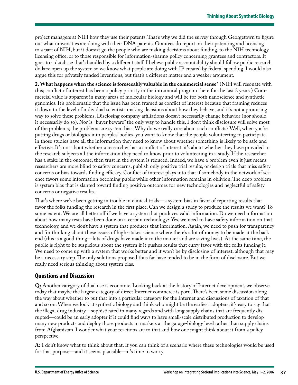project managers at NIH how they use their patents. That's why we did the survey through Georgetown to figure out what universities are doing with their DNA patents. Grantees do report on their patenting and licensing to a part of NIH, but it doesn't go the people who are making decisions about funding, to the NIH technology licensing office, or to those responsible for information-sharing policy concerning grantees and contractors. It goes to a database that's handled by a different staff. I believe public accountability should follow public research dollars: open up the system so we know what people are doing with IP created by federal spending. I would also argue this for privately funded inventions, but that's a different matter and a weaker argument.

**2. What happens when the science is foreseeably valuable in the commercial sense**? (NIH will resonate with this; conflict of interest has been a policy priority in the intramural program there for the last 2 years.) Commercial value is apparent in many areas of molecular biology and will be for both nanoscience and synthetic genomics. It's problematic that the issue has been framed as conflict of interest because that framing reduces it down to the level of individual scientists making decisions about how they behave, and it's not a promising way to solve these problems. Disclosing company affiliations doesn't necessarily change behavior (nor should it necessarily do so). Nor is "buyer beware" the only way to handle this. I don't think disclosure will solve most of the problems; the problems are system bias. Why do we really care about such conflicts? Well, when you're putting drugs or biologics into peoples' bodies, you want to know that the people volunteering to participate in those studies have all the information they need to know about whether something is likely to be safe and effective. It's not about whether a researcher has a conflict of interest, it's about whether they have provided to the research subjects all the information they need to know prior to volunteering in a study. If the researcher has a stake in the outcome, then trust in the system is reduced. Indeed, we have a problem even it just means researchers are more blind to safety concerns, publish only positive trial results, or design trials that miss safety concerns or bias towards finding efficacy. Conflict of interest plays into that if somebody in the network of science favors some information becoming public while other information remains in oblivion. The deep problem is system bias that is slanted toward finding positive outcomes for new technologies and neglectful of safety concerns or negative results.

That's where we've been getting in trouble in clinical trials—a system bias in favor of reporting results that favor the folks funding the research in the first place. Can we design a study to produce the results we want? To some extent. We are all better off if we have a system that produces valid information. Do we need information about how many tests have been done on a certain technology? Yes, we need to have safety information on that technology, and we don't have a system that produces that information. Again, we need to push for transparency and for thinking about these issues of high-stakes science where there's a lot of money to be made at the back end (this is a good thing—lots of drugs have made it to the market and are saving lives). At the same time, the public is right to be suspicious about the system if it pushes results that curry favor with the folks funding it. We need to come up with a system that works better and it won't be by disclosing of interest, although that may be a necessary step. The only solutions proposed thus far have tended to be in the form of disclosure. But we really need serious thinking about system bias.

### **Questions and Discussion**

**Q:** Another category of dual use is economic. Looking back at the history of Internet development, we observe today that maybe the largest category of direct Internet commerce is porn. There's been some discussion along the way about whether to put that into a particular category for the Internet and discussions of taxation of that and so on. When we look at synthetic biology and think who might be the earliest adopters, it's easy to say that the illegal drug industry—sophisticated in many regards and with long supply chains that are frequently disrupted—could be an early adopter if it could find ways to have small-scale distributed production to develop many new products and deploy those products in markets at the garage-biology level rather than supply chains from Afghanistan. I wonder what your reactions are to that and how one might think about it from a policy perspective.

**A:** I don't know what to think about that. If you can think of a scenario where these technologies would be used for that purpose—and it seems plausible—it's time to worry.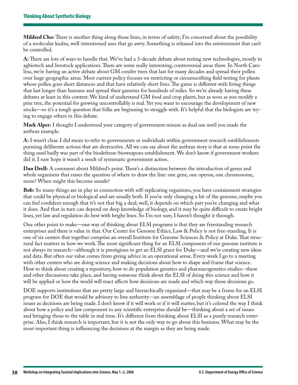**Mildred Cho:** There is another thing along those lines, in terms of safety; I'm concerned about the possibility of a molecular kudzu, well-intentioned uses that go awry. Something is released into the environment that can't be controlled.

**A:** There are lots of ways to handle that. We've had a 3-decade debate about testing new technologies, mostly in agbiotech and livestock applications. There are some really interesting, controversial areas there. In North Carolina, we're having an active debate about GM conifer trees that last for many decades and spread their pollen over huge geographic areas. Most current policy focuses on restricting or circumscribing field testing for plants whose pollen goes short distances and that have relatively short lives. The game is different with living things that last longer than humans and spread their gametes for hundreds of miles. So we're already having these debates at least in this context. We kind of understand GM food and crop plants, but as soon as you modify a pine tree, the potential for growing uncontrollably is real. Yet you want to encourage the development of new stocks—so it's a tough question that folks are beginning to struggle with. It's helpful that the biologists are trying to engage others in this debate.

**Mark Alper:** I thought I understood your category of government misuse as dual use until you made the anthrax example.

**A:** I wasn't clear. I did mean to refer to governments or individuals within government research establishments pursuing deliberate actions that are destructive. All we can say about the anthrax story is that at some point the thing used badly was part of the biodefense-bioweapons establishment. We don't know if government workers did it. I sure hope it wasn't a result of systematic government action.

**Dan Drell:** A comment about Mildred's point. There's a distinction between the introduction of genes and whole organisms that raises the question of where to draw the line: one gene, one operon, one chromosome, more? When might this become unsafe?

**Bob:** So many things are in play in connection with self-replicating organisms, you have containment strategies that could be physical or biological and are usually both. If you're only changing a bit of the genome, maybe you can feel confident enough that it's not that big a deal; well, it depends on which part you're changing and what it does. And that in turn can depend on deep knowledge of biology, and it may be quite difficult to create bright lines, yet law and regulation do best with bright lines. So I'm not sure, I haven't thought it through.

One other point to make—one way of thinking about ELSI programs is that they are freestanding research enterprises and there is value in that. Our Center for Genome Ethics, Law & Policy is not free-standing. It is one of six centers that together comprise an overall Institute for Genome Sciences & Policy at Duke. That structural fact matters in how we work. The most significant thing for an ELSI component of our genome institute is not always its research—although it is prestigious to get an ELSI grant for Duke—and we're creating new ideas and data. But often our value comes from giving advice in an operational sense. Every week I go to a meeting with other centers who are doing science and making decisions about how to shape and frame that science. How to think about creating a repository, how to do population genetics and pharmacogenetics studies--these and other discussions take place, and having someone think about the ELSI of doing this science and how it will be applied or how the world will react affects how decisions are made and which way those decisions go.

DOE supports institutions that are pretty large and hierarchically organized—that may be a frame for an ELSI program for DOE that would be advisory to line authority—an assemblage of people thinking about ELSI issues as decisions are being made. I don't know if it will work or if it will matter, but it's colored the way I think about how a policy and law component to any scientific enterprise should be—thinking about a set of issues and bringing those to the table in real time. It's different from thinking about ELSI as a purely research enterprise. Also, I think research is important, but it is not the only way to go about this business. What may be the most important thing is influencing the decisions at the margin as they are being made.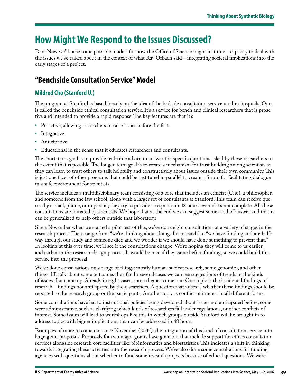# **How Might We Respond to the Issues Discussed?**

Dan: Now we'll raise some possible models for how the Office of Science might institute a capacity to deal with the issues we've talked about in the context of what Ray Orbach said—integrating societal implications into the early stages of a project.

# **"Benchside Consultation Service" Model**

# **Mildred Cho (Stanford U.)**

The program at Stanford is based loosely on the idea of the bedside consultation service used in hospitals. Ours is called the benchside ethical consultation service. It's a service for bench and clinical researchers that is proactive and intended to provide a rapid response. The key features are that it's

- Proactive, allowing researchers to raise issues before the fact.
- Integrative
- Anticipative
- Educational in the sense that it educates researchers and consultants.

The short-term goal is to provide real-time advice to answer the specific questions asked by these researchers to the extent that is possible. The longer-term goal is to create a mechanism for trust building among scientists so they can learn to trust others to talk helpfully and constructively about issues outside their own community. This is just one facet of other programs that could be instituted in parallel to create a forum for facilitating dialogue in a safe environment for scientists.

The service includes a multidisciplinary team consisting of a core that includes an ethicist (Cho), a philosopher, and someone from the law school, along with a larger set of consultants at Stanford. This team can receive queries by e-mail, phone, or in person; they try to provide a response in 48 hours even if it's not complete. All these consultations are initiated by scientists. We hope that at the end we can suggest some kind of answer and that it can be generalized to help others outside that laboratory.

Since November when we started a pilot test of this, we've done eight consultations at a variety of stages in the research process. These range from "we're thinking about doing this research" to "we have funding and are halfway through our study and someone died and we wonder if we should have done something to prevent that." In looking at this over time, we'll see if the consultations change. We're hoping they will come to us earlier and earlier in the research-design process. It would be nice if they came before funding, so we could build this service into the proposal.

We've done consultations on a range of things: mostly human-subject research, some genomics, and other things. I'll talk about some outcomes thus far. In several cases we can see suggestions of trends in the kinds of issues that come up. Already in eight cases, some themes come out: One topic is the incidental findings of research—findings not anticipated by the researchers. A question that arises is whether those findings should be reported to the research group or the participants. Another topic is conflict of interest in all different forms.

Some consultations have led to institutional policies being developed about issues not anticipated before; some were administrative, such as clarifying which kinds of researchers fall under regulations, or other conflicts of interest. Some issues will lead to workshops like this in which groups outside Stanford will be brought in to address topics with bigger implications than can be addressed in 48 hours.

Examples of more to come out since November (2005): the integration of this kind of consultation service into large grant proposals. Proposals for two major grants have gone out that include support for ethics consultation services alongside research core facilities like bioinformatics and biostatistics. This indicates a shift in thinking towards integrating these activities into the research process. We've also done some consultations for funding agencies with questions about whether to fund some research projects because of ethical questions. We were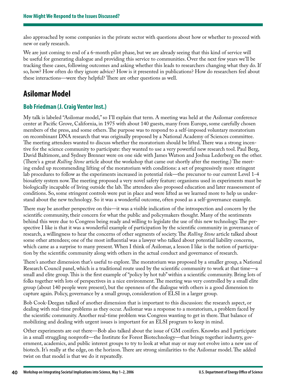also approached by some companies in the private sector with questions about how or whether to proceed with new or early research.

We are just coming to end of a 6-month pilot phase, but we are already seeing that this kind of service will be useful for generating dialogue and providing this service to communities. Over the next few years we'll be tracking these cases, following outcomes and asking whether this leads to researchers changing what they do. If so, how? How often do they ignore advice? How is it presented in publications? How do researchers feel about these interactions—were they helpful? There are other questions as well.

# **Asilomar Model**

### **Bob Friedman (J. Craig Venter Inst.)**

My talk is labeled "Asilomar model," so I'll explain that term. A meeting was held at the Asilomar conference center at Pacific Grove, California, in 1975 with about 140 guests, many from Europe, some carefully chosen members of the press, and some others. The purpose was to respond to a self-imposed voluntary moratorium on recombinant DNA research that was originally proposed by a National Academy of Sciences committee. The meeting attendees wanted to discuss whether the moratorium should be lifted. There was a strong incentive for the science community to participate: they wanted to use a very powerful new research tool. Paul Berg, David Baltimore, and Sydney Brenner were on one side with James Watson and Joshua Lederberg on the other. (There's a great *Rolling Stone* article about the workshop that came out shortly after the meeting.) The meeting ended up recommending lifting of the moratorium with conditions: a set of progressively more stringent lab procedures to follow as the experiments increased in potential risk—the precursor to our current Level 1-4 biosafety system now. The meeting proposed a very novel safety feature: organisms used in experiments must be biologically incapable of living outside the lab. The attendees also proposed education and later reassessment of conditions. So, some stringent controls were put in place and were lifted as we learned more to help us understand about the new technology. So it was a wonderful outcome, often posed as a self-governance example.

There may be another perspective on this—it was a visible indication of the introspection and concern by the scientific community, their concern for what the public and policymakers thought. Many of the sentiments behind this were due to Congress being ready and willing to legislate the use of this new technology. The perspective I like is that it was a wonderful example of participation by the scientific community in governance of research, a willingness to hear the concerns of other segments of society. The *Rolling Stone* article talked about some other attendees; one of the most influential was a lawyer who talked about potential liability concerns, which came as a surprise to many present. When I think of Asilomar, a lesson I like is the notion of participation by the scientific community along with others in the actual conduct and governance of research.

There's another dimension that's useful to explore. The moratorium was proposed by a smaller group, a National Research Council panel, which is a traditional route used by the scientific community to work at that time—a small and elite group. This is the first example of "policy by hot tub" within a scientific community. Bring lots of folks together with lots of perspectives in a nice environment. The meeting was very controlled by a small elite group (about 140 people were present), but the openness of the dialogue with others is a good dimension to capture again. Policy, governance by a small group, consideration of ELSI in a larger group.

Bob Cook-Deegan talked of another dimension that is important to this discussion: the research aspect, or dealing with real-time problems as they occur. Asilomar was a response to a moratorium, a problem faced by the scientific community. Another real-time problem was Congress wanting to get in there. That balance of mobilizing and dealing with urgent issues is important for an ELSI program to keep in mind.

Other experiments are out there—Bob also talked about the issue of GM conifers. Knowles and I participate in a small struggling nonprofit—the Institute for Forest Biotechnology—that brings together industry, government, academics, and public interest groups to try to look at what may or may not evolve into a new use of biotech. It's really at the edge, on the horizon. There are strong similarities to the Asilomar model. The added twist on that model is that we do it repeatedly.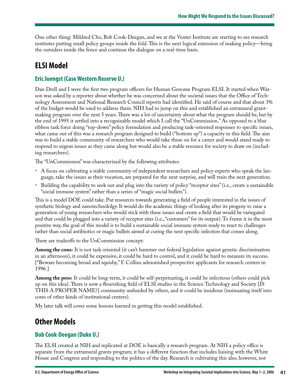One other thing: Mildred Cho, Bob Cook-Deegan, and we at the Venter Institute are starting to see research institutes putting small policy groups inside the fold. This is the next logical extension of making policy—bring the outsiders inside the fence and continue the dialogue on a real-time basis.

# **ELSI Model**

### **Eric Juengst (Case Western Reserve U.)**

Dan Drell and I were the first two program officers for Human Genome Program ELSI. It started when Watson was asked by a reporter about whether he was concerned about the societal issues that the Office of Technology Assessment and National Research Council reports had identified. He said of course and that about 3% of the budget would be used to address them. NIH had to jump on this and established an extramural grantmaking program over the next 5 years. There was a lot of uncertainty about what the program should be, but by the end of 1995 it settled into a recognizable model which I call the "UnCommission." As opposed to a blue ribbon task force doing "top-down" policy formulation and producing task-oriented responses to specific issues, what came out of this was a research program designed to build ("bottom up") a capacity in this field. The aim was to build a stable community of researchers who would take these on for a career and would stand ready to respond to urgent issues as they came along but would also be a stable resource for society to draw on (including researchers).

The "UnCommission" was characterized by the following attributes:

- A focus on cultivating a stable community of independent researchers and policy experts who speak the lan-• guage, take the issues as their vocation, are prepared for the next surprise, and will train the next generation.
- Building the capability to seek out and plug into the variety of policy "receptor sites" (i.e., create a sustainable "social immune system" rather than a series of "magic social bullets").

This is a model DOE could take. Put resources towards generating a field of people interested in the issues of synthetic biology and nanotechnololgy. It would do the academic things of looking after its progeny to raise a generation of young researchers who would stick with these issues and create a field that would be variegated and that could be plugged into a variety of receptor sites (i.e., "customers" for its output). To frame it in the most positive way, the goal of this model is to build a sustainable social immune system ready to react to challenges rather than social antibiotics or magic bullets aimed at curing the next specific infection that comes along.

There are tradeoffs to the UnCommission concept:

**Among the cons:** It is not task oriented (it can't hammer out federal legislation against genetic discrimination in an afternoon), it could be expensive, it could be hard to control, and it could be hard to measure its success. ["Beware becoming broad and squishy," F. Collins admonished prospective applicants for research centers in 1996.]

**Among the pros:** It could be long-term, it could be self-perpetuating, it could be infectious (others could pick up on this idea). There is now a flourishing field of ELSI studies in the Science Technology and Society [IS THIS A PROPER NAME?] community unfunded by others, and it could be insidious (insinuating itself into cores of other kinds of institutional centers).

My later talk will cover some lessons learned in getting this model established.

# **Other Models**

### **Bob Cook-Deegan (Duke U.)**

The ELSI created at NIH and replicated at DOE is basically a research program. At NIH a policy office is separate from the extramural grants program; it has a different function that includes liaising with the White House and Congress and responding to the politics of the day. Research is cultivating this also, however, not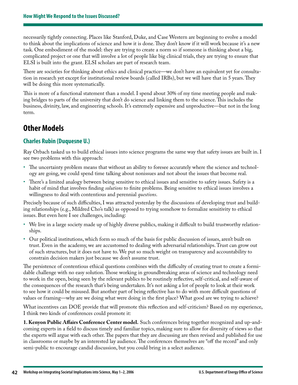necessarily tightly connecting. Places like Stanford, Duke, and Case Western are beginning to evolve a model to think about the implications of science and how it is done. They don't know if it will work because it's a new task. One embodiment of the model: they are trying to create a norm so if someone is thinking about a big, complicated project or one that will involve a lot of people like big clinical trials, they are trying to ensure that ELSI is built into the grant. ELSI scholars are part of research team.

There are societies for thinking about ethics and clinical practice—we don't have an equivalent yet for consultation in research yet except for institutional review boards (called IRBs), but we will have that in 5 years. They will be doing this more systematically.

This is more of a functional statement than a model. I spend about 30% of my time meeting people and making bridges to parts of the university that don't do science and linking them to the science. This includes the business, divinity, law, and engineering schools. It's extremely expensive and unproductive—but not in the long term.

# **Other Models**

# **Charles Rubin (Duquesne U.)**

Ray Orbach tasked us to build ethical issues into science programs the same way that safety issues are built in. I see two problems with this approach:

- The uncertainty problem means that without an ability to foresee accurately where the science and technology are going, we could spend time talking about nonissues and not about the issues that become real.
- $\bullet$  There's a limited analogy between being sensitive to ethical issues and sensitive to safety issues. Safety is a habit of mind that involves finding *solutions* to finite problems. Being sensitive to ethical issues involves a willingness to deal with contentious and perennial *questions*.

Precisely because of such difficulties, I was attracted yesterday by the discussions of developing trust and building relationships (e.g., Mildred Cho's talk) as opposed to trying somehow to formalize sensitivity to ethical issues. But even here I see challenges, including:

- We live in a large society made up of highly diverse publics, making it difficult to build trustworthy relation-• ships.
- Our political institutions, which form so much of the basis for public discussion of issues, aren't built on trust. Even in the academy, we are accustomed to dealing with adversarial relationships. Trust can grow out of such structures, but it does not have to. We put so much weight on transparency and accountability to constrain decision makers just because we don't assume trust.

The persistence of contentious ethical questions combines with the difficulty of creating trust to create a formidable challenge with no easy solution. Those working in groundbreaking areas of science and technology need to work in the open, being seen by the relevant publics to be routinely reflective, self-critical, and self-aware of the consequences of the research that's being undertaken. It's not asking a lot of people to look at their work to see how it could be misused. But another part of being reflective has to do with more difficult questions of values or framing—why are we doing what were doing in the first place? What good are we trying to achieve?

What incentives can DOE provide that will promote this reflection and self-criticism? Based on my experience, I think two kinds of conferences could promote it:

**1. Kenyon Public Affairs Conference Center model.** Such conferences bring together recognized and up-andcoming experts in a field to discuss timely and familiar topics, making sure to allow for diversity of views so that the experts will argue with each other. The papers that they are discussing are then revised and published for use in classrooms or maybe by an interested lay audience. The conferences themselves are "off the record" and only semi-public to encourage candid discussion, but you could bring in a select audience.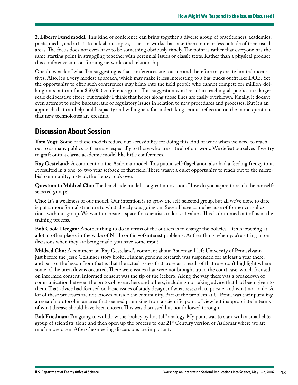**2. Liberty Fund model.** This kind of conference can bring together a diverse group of practitioners, academics, poets, media, and artists to talk about topics, issues, or works that take them more or less outside of their usual areas. The focus does not even have to be something obviously timely. The point is rather that everyone has the same starting point in struggling together with perennial issues or classic texts. Rather than a physical product, this conference aims at forming networks and relationships.

One drawback of what I'm suggesting is that conferences are routine and therefore may create limited incentives. Also, it's a very modest approach, which may make it less interesting to a big-bucks outfit like DOE. Yet the opportunity to offer such conferences may bring into the field people who cannot compete for million-dollar grants but can for a \$50,000 conference grant. This suggestion won't result in reaching all publics in a largescale deliberative effort, but frankly I think that hopes along those lines are easily overblown. Finally, it doesn't even attempt to solve bureaucratic or regulatory issues in relation to new procedures and processes. But it's an approach that can help build capacity and willingness for undertaking serious reflection on the moral questions that new technologies are creating.

# **Discussion About Session**

**Tom Vogt:** Some of these models reduce our accessibility for doing this kind of work when we need to reach out to as many publics as there are, especially to those who are critical of our work. We defeat ourselves if we try to graft onto a classic academic model like little conferences.

**Ray Gesteland:** A comment on the Asilomar model. This public self-flagellation also had a feeding frenzy to it. It resulted in a one-to-two year setback of that field. There wasn't a quiet opportunity to reach out to the microbial community; instead, the frenzy took over.

**Question to Mildred Cho:** The benchside model is a great innovation. How do you aspire to reach the nonselfselected group?

**Cho:** It's a weakness of our model. Our intention is to grow the self-selected group, but all we've done to date is put a more formal structure to what already was going on. Several have come because of former consultations with our group. We want to create a space for scientists to look at values. This is drummed out of us in the training process.

**Bob Cook-Deegan:** Another thing to do in terms of the outliers is to change the policies—it's happening at a lot at other places in the wake of NIH conflict-of-interest problems. Anther thing, when you're sitting in on decisions when they are being made, you have some input.

**Mildred Cho:** A comment on Ray Gesteland's comment about Asilomar. I left University of Pennsylvania just before the Jesse Gelsinger story broke. Human genome research was suspended for at least a year there, and part of the lesson from that is that the actual issues that arose as a result of that case don't highlight where some of the breakdowns occurred. There were issues that were not brought up in the court case, which focused on informed consent. Informed consent was the tip of the iceberg. Along the way there was a breakdown of communication between the protocol researchers and others, including not taking advice that had been given to them. That advice had focused on basic issues of study design, of what research to pursue, and what not to do. A lot of these processes are not known outside the community. Part of the problem at U. Penn. was their pursuing a research protocol in an area that seemed promising from a scientific point of view but inappropriate in terms of what disease should have been chosen. This was discussed but not followed through.

**Bob Friedman:** I'm going to withdraw the "policy by hot tub" analogy. My point was to start with a small elite group of scientists alone and then open up the process to our  $21<sup>st</sup>$  Century version of Asilomar where we are much more open. After-the-meeting discussions are important.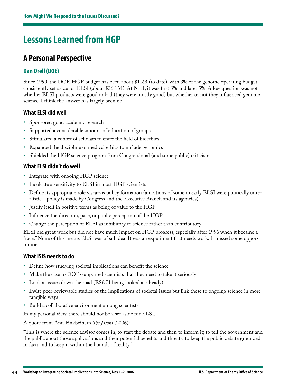# **Lessons Learned from HGP**

# **A Personal Perspective**

# **Dan Drell (DOE)**

Since 1990, the DOE HGP budget has been about \$1.2B (to date), with 3% of the genome operating budget consistently set aside for ELSI (about \$36.1M). At NIH, it was first 3% and later 5%. A key question was not whether ELSI products were good or bad (they were mostly good) but whether or not they influenced genome science. I think the answer has largely been no.

### **What ELSI did well**

- Sponsored good academic research •
- Supported a considerable amount of education of groups •
- Stimulated a cohort of scholars to enter the field of bioethics •
- Expanded the discipline of medical ethics to include genomics •
- Shielded the HGP science program from Congressional (and some public) criticism •

# **What ELSI didn't do well**

- Integrate with ongoing HGP science
- Inculcate a sensitivity to ELSI in most HGP scientists
- Define its appropriate role vis-à-vis policy formation (ambitions of some in early ELSI were politically unre-• alistic—policy is made by Congress and the Executive Branch and its agencies)
- Justify itself in positive terms as being of value to the HGP •
- Influence the direction, pace, or public perception of the HGP
- Change the perception of ELSI as inhibitory to science rather than contributory •

ELSI did great work but did not have much impact on HGP progress, especially after 1996 when it became a "race." None of this means ELSI was a bad idea. It was an experiment that needs work. It missed some opportunities.

# **What ISIS needs to do**

- Define how studying societal implications can benefit the science
- Make the case to DOE-supported scientists that they need to take it seriously •
- Look at issues down the road (ES&H being looked at already) •
- Invite peer-reviewable studies of the implications of societal issues but link these to ongoing science in more tangible ways •
- Build a collaborative environment among scientists

In my personal view, there should not be a set aside for ELSI.

A quote from Ann Finkbeiner's *The Jasons* (2006):

"This is where the science advisor comes in, to start the debate and then to inform it; to tell the government and the public about those applications and their potential benefits and threats; to keep the public debate grounded in fact; and to keep it within the bounds of reality."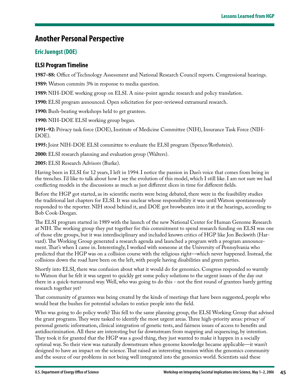# **Another Personal Perspective**

# **Eric Juengst (DOE)**

### **ELSI Program Timeline**

**1987–88:** Office of Technology Assessment and National Research Council reports. Congressional hearings.

**1989:** Watson commits 3% in response to media question.

**1989:** NIH-DOE working group on ELSI. A nine-point agenda: research and policy translation.

**1990:** ELSI program announced. Open solicitation for peer-reviewed extramural research.

**1990:** Bush-beating workshops held to get grantees.

**1990:** NIH-DOE ELSI working group began.

**1991–92:** Privacy task force (DOE), Institute of Medicine Committee (NIH), Insurance Task Force (NIH-DOE).

**1995:** Joint NIH-DOE ELSI committee to evaluate the ELSI program (Spence/Rothstein).

**2000:** ELSI research planning and evaluation group (Walters).

**2005:** ELSI Research Advisors (Burke).

Having been in ELSI for 12 years, I left in 1994. I notice the passion in Dan's voice that comes from being in the trenches. I'd like to talk about how I see the evolution of this model, which I still like. I am not sure we had conflicting models in the discussions as much as just different slices in time for different fields.

Before the HGP got started, as its scientific merits were being debated, there were in the feasibility studies the traditional last chapters for ELSI. It was unclear whose responsibility it was until Watson spontaneously responded to the reporter. NIH stood behind it, and DOE got browbeaten into it at the hearings, according to Bob Cook-Deegan.

The ELSI program started in 1989 with the launch of the new National Center for Human Genome Research at NIH. The working group they put together for this commitment to spend research funding on ELSI was one of those elite groups, but it was interdisciplinary and included known critics of HGP like Jon Beckwith (Harvard). The Working Group generated a research agenda and launched a program with a program announcement. That's when I came in. Interestingly, I worked with someone at the University of Pennsylvania who predicted that the HGP was on a collision course with the religious right—which never happened. Instead, the collisions down the road have been on the left, with people having disabilities and green parties.

Shortly into ELSI, there was confusion about what it would do for genomics. Congress responded so warmly to Watson that he felt it was urgent to quickly get some policy solutions to the urgent issues of the day out there in a quick-turnaround way. Well, who was going to do this - not the first round of grantees barely getting research together yet?

That community of grantees was being created by the kinds of meetings that have been suggested, people who would beat the bushes for potential scholars to entice people into the field.

Who was going to do policy work? This fell to the same planning group, the ELSI Working Group that advised the grant programs. They were tasked to identify the most urgent areas. Three high-priority areas: privacy of personal genetic information, clinical integration of genetic tests, and fairness issues of access to benefits and antidiscrimination. All these are interesting but far downstream from mapping and sequencing, by intention. They took it for granted that the HGP was a good thing, they just wanted to make it happen in a socially optimal way. So their view was naturally downstream when genome knowledge became applicable—it wasn't designed to have an impact on the science. That raised an interesting tension within the genomics community and the source of our problems in not being well integrated into the genomics world. Scientists said these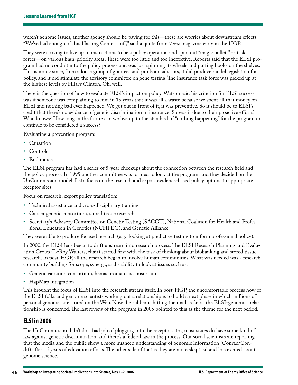weren't genome issues, another agency should be paying for this—these are worries about downstream effects. "We've had enough of this Hasting Center stuff," said a quote from *Time* magazine early in the HGP.

They were striving to live up to instructions to be a policy operation and spun out "magic bullets" -- task forces—on various high-priority areas. These were too little and too ineffective. Reports said that the ELSI program had no conduit into the policy process and was just spinning its wheels and putting books on the shelves. This is ironic since, from a loose group of grantees and pro bono advisors, it did produce model legislation for policy, and it did stimulate the advisory committee on gene testing. The insurance task force was picked up at the highest levels by Hilary Clinton. Oh, well.

There is the question of how to evaluate ELSI's impact on policy. Watson said his criterion for ELSI success was if someone was complaining to him in 15 years that it was all a waste because we spent all that money on ELSI and nothing bad ever happened. We got out in front of it, it was preventive. So it should be to ELSI's credit that there's no evidence of genetic discrimination in insurance. So was it due to their proactive efforts? Who knows? How long in the future can we live up to the standard of "nothing happening" for the program to continue to be considered a success?

Evaluating a prevention program:

- Causation
- Controls
- Endurance

The ELSI program has had a series of 5-year checkups about the connection between the research field and the policy process. In 1995 another committee was formed to look at the program, and they decided on the UnCommission model. Let's focus on the research and export evidence-based policy options to appropriate receptor sites.

Focus on research; export policy translation:

- Technical assistance and cross-disciplinary training
- Cancer genetic consortium, stored tissue research •
- Secretary's Advisory Committee on Genetic Testing (SACGT), National Coalition for Health and Professional Education in Genetics (NCHPEG), and Genetic Alliance •

They were able to produce focused research (e.g., looking at predictive testing to inform professional policy).

In 2000, the ELSI lens began to drift upstream into research process. The ELSI Research Planning and Evaluation Group (LeRoy Walters, chair) started first with the task of thinking about biobanking and stored tissue research. In post-HGP, all the research began to involve human communities. What was needed was a research community building for scope, synergy, and stability to look at issues such as:

- Genetic variation consortium, hemachromatosis consortium
- HapMap integration

This brought the focus of ELSI into the research stream itself. In post-HGP, the uncomfortable process now of the ELSI folks and genome scientists working out a relationship is to build a next phase in which millions of personal genomes are stored on the Web. Now the rubber is hitting the road as far as the ELSI-genomics relationship is concerned. The last review of the program in 2005 pointed to this as the theme for the next period.

### **ELSI in 2006**

The UnCommission didn't do a bad job of plugging into the receptor sites; most states do have some kind of law against genetic discrimination, and there's a federal law in the process. Our social scientists are reporting that the media and the public show a more nuanced understanding of genomic information (Conrad/Condit) after 15 years of education efforts. The other side of that is they are more skeptical and less excited about genome science.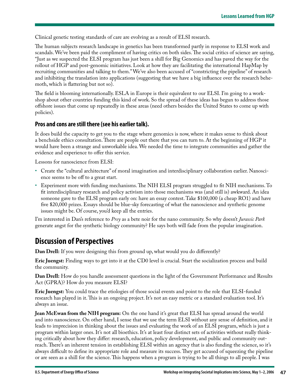Clinical genetic testing standards of care are evolving as a result of ELSI research.

The human subjects research landscape in genetics has been transformed partly in response to ELSI work and scandals. We've been paid the compliment of having critics on both sides. The social critics of science are saying, "Just as we suspected the ELSI program has just been a shill for Big Genomics and has paved the way for the rollout of HGP and post-genomic initiatives. Look at how they are facilitating the international HapMap by recruiting communities and talking to them." We've also been accused of "constricting the pipeline" of research and inhibiting the translation into applications (suggesting that we have a big influence over the research behemoth, which is flattering but not so).

The field is blooming internationally. ESLA in Europe is their equivalent to our ELSI. I'm going to a workshop about other countries funding this kind of work. So the spread of these ideas has begun to address those offshore issues that come up repeatedly in these areas (need others besides the United States to come up with policies).

### **Pros and cons are still there (see his earlier talk).**

It does build the capacity to get you to the stage where genomics is now, where it makes sense to think about a benchside ethics consultation. There are people out there that you can turn to. At the beginning of HGP it would have been a strange and unworkable idea. We needed the time to integrate communities and gather the evidence and experience to offer this service.

Lessons for nanoscience from ELSI:

- Create the "cultural architecture" of moral imagination and interdisciplinary collaboration earlier. Nanosci-• ence seems to be off to a great start.
- Experiment more with funding mechanisms. The NIH ELSI program struggled to fit NIH mechanisms. To fit interdisciplinary research and policy activism into those mechanisms was (and still is) awkward. An idea someone gave to the ELSI program early on: have an essay contest. Take \$100,000 (a cheap RO1) and have five \$20,000 prizes. Essays should be blue-sky forecasting of what the nanoscience and synthetic genome issues might be. Of course, you'd keep all the entries.

I'm interested in Dan's reference to *Prey* as a bete noir for the nano community. So why doesn't *Jurassic Park* generate angst for the synthetic biology community? He says both will fade from the popular imagination.

# **Discussion of Perspectives**

**Dan Drell:** If you were designing this from ground up, what would you do differently?

**Eric Juengst:** Finding ways to get into it at the CD0 level is crucial. Start the socialization process and build the community.

**Dan Drell:** How do you handle assessment questions in the light of the Government Performance and Results Act (GPRA)? How do you measure ELSI?

**Eric Juengst:** You could trace the etiologies of those social events and point to the role that ELSI-funded research has played in it. This is an ongoing project. It's not an easy metric or a standard evaluation tool. It's always an issue.

**Jean McEwan from the NIH program:** On the one hand it's great that ELSI has spread around the world and into nanoscience. On other hand, I sense that we use the term ELSI without any sense of definition, and it leads to imprecision in thinking about the issues and evaluating the work of an ELSI program, which is just a program within larger ones. It's not all bioethics. It's at least four distinct sets of activities without really thinking critically about how they differ: research, education, policy development, and public and community outreach. There's an inherent tension in establishing ELSI within an agency that is also funding the science, so it's always difficult to define its appropriate role and measure its success. They get accused of squeezing the pipeline or are seen as a shill for the science. This happens when a program is trying to be all things to all people. I was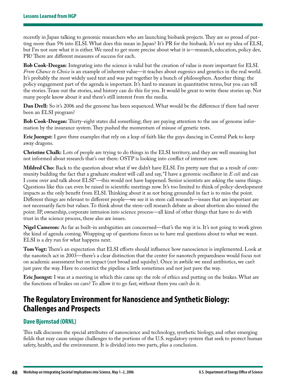recently in Japan talking to genomic researchers who are launching biobank projects. They are so proud of putting more than 5% into ELSI. What does this mean in Japan? It's PR for the biobank. It's not my idea of ELSI, but I'm not sure what it is either. We need to get more precise about what it is—research, education, policy dev, PR? There are different measures of success for each.

**Bob Cook-Deegan**: Integrating into the science is valid but the creation of value is more important for ELSI. *From Chance to Choice* is an example of inherent value—it teaches about eugenics and genetics in the real world. It's probably the most widely used text and was put together by a bunch of philosophers. Another thing: the policy engagement part of the agenda is important. It's hard to measure in quantitative terms, but you can tell the stories. Tease out the stories, and history can do this for you. It would be great to write these stories up. Not many people know about it and there's still interest from the media.

**Dan Drell:** So it's 2006 and the genome has been sequenced. What would be the difference if there had never been an ELSI program?

**Bob Cook-Deegan:** Thirty-eight states did something; they are paying attention to the use of genome information by the insurance system. They pushed the momentum of misuse of genetic tests.

**Eric Juengst:** I gave three examples that rely on a leap of faith like the guys dancing in Central Park to keep away dragons.

**Christine Chalk:** Lots of people are trying to do things in the ELSI territory, and they are well meaning but not informed about research that's out there. OSTP is looking into conflict of interest now.

**Mildred Cho:** Back to the question about what if we didn't have ELSI. I'm pretty sure that as a result of community building the fact that a graduate student will call and say, "I have a genomic oscillator in *E coli* and can I come over and talk about ELSI"—this would not have happened. Senior scientists are asking the same things. Questions like this can even be raised in scientific meetings now. It's too limited to think of policy-development impacts as the only benefit from ELSI. Thinking about it as not being grounded in fact is to miss the point. Different things are relevant to different people—we see it in stem call research—issues that are important are not necessarily facts but values. To think about the stem-cell research debate as about abortion also missed the point. IP, ownership, corporate intrusion into science process—all kind of other things that have to do with trust in the science process, these also are issues.

**Nigel Cameron:** As far as built-in ambiguities are conceerned—that's the way it is. It's not going to work given the kind of agenda coming. Wrapping up of questions forces us to have real questions about to what we want. ELSI is a dry run for what happens next.

**Tom Vogt:** There's an expectation that ELSI efforts should influence how nanoscience is implemented. Look at the nanotech act in 2003—there's a clear distinction that the center for nanotech preparedness would focus not on academic assessment but on impact (not broad and squishy). Once in awhile we need antibiotics, we can't just pave the way. Have to constrict the pipeline a little sometimes and not just pave the way.

**Eric Juengst:** I was at a meeting in which this came up: the role of ethics and putting on the brakes. What are the functions of brakes on cars? To allow it to go fast; without them you can't do it.

# **The Regulatory Environment for Nanoscience and Synthetic Biology: Challenges and Prospects**

# **Dave Bjornstad (ORNL)**

This talk discusses the special attributes of nanoscience and technology, synthetic biology, and other emerging fields that may cause unique challenges to the portions of the U.S. regulatory system that seek to protect human safety, health, and the environment. It is divided into two parts, plus a conclusion.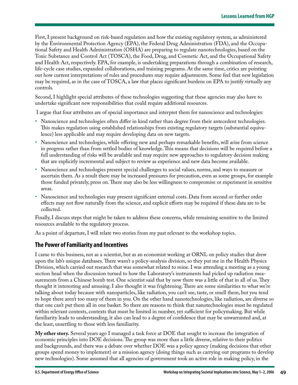First, I present background on risk-based regulation and how the existing regulatory system, as administered by the Environmental Protection Agency (EPA), the Federal Drug Administration (FDA), and the Occupational Safety and Health Administration (OSHA) are preparing to regulate nanotechnologies, based on the Toxic Substance and Control Act (TOSCA), the Food, Drug, and Cosmetic Act, and the Occupational Safety and Health Act, respectively. EPA, for example, is undertaking preparations through a combination of research, life-cycle case studies, expanded collaborations, and training programs. At the same time, critics are pointing out how current interpretations of rules and procedures may require adjustments. Some feel that new legislation may be required, as in the case of TOSCA, a law that places significant burdens on EPA to justify virtually any controls.

Second, I highlight special attributes of these technologies suggesting that these agencies may also have to undertake significant new responsibilities that could require additional resources.

I argue that four attributes are of special importance and interpret them for nanoscience and technologies:

- Nanoscience and technologies often differ in kind rather than degree from their antecedent technologies. This makes regulation using established relationships from existing regulatory targets (substantial equivalence) less applicable and may require developing data on new targets.
- Nanoscience and technologies, while offering new and perhaps remarkable benefits, will arise from science in progress rather than from settled bodies of knowledge. This means that decisions will be required before a full understanding of risks will be available and may require new approaches to regulatory decision making that are explicitly incremental and subject to review as experience and new data become available.
- Nanoscience and technologies present special challenges to social values, norms, and ways to measure or ascertain them. As a result there may be increased pressures for precaution, even as some groups, for example those funded privately, press on. There may also be less willingness to compromise or experiment in sensitive areas. •
- Nanoscience and technologies may present significant external costs. Data from second or further order effects may not flow naturally from the science, and explicit efforts may be required if these data are to be collected.

Finally, I discuss steps that might be taken to address these concerns, while remaining sensitive to the limited resources available to the regulatory process.

As a point of departure, I will relate two stories from my past relevant to the workshop topics.

#### **The Power of Familiarity and Incentives**

I came to this business, not as a scientist, but as an economist working at ORNL on policy studies that drew upon the lab's unique databases. There wasn't a policy-analysis division, so they put me in the Health Physics Division, which carried out research that was somewhat related to mine. I was attending a meeting as a young section head when the discussion turned to how the Laboratory's instruments had picked up radiation measurements from a Chinese bomb test. One scientist said that by now there was a little of that in all of us. They thought it interesting and amusing. I also thought it was frightening. There are some similarities to what we're talking about today because with nanoparticles, like radiation, you can't see, taste, or smell them, but you tend to hope there aren't too many of them in you. On the other hand nanotechnologies, like radiation, are diverse so that one can't put them all in one basket. So there are reasons to think that nanotechnologies must be regulated within relevant contexts, contexts that must be limited in number, yet sufficient for policymaking. But while familiarity leads to understanding, it also can lead to a degree of confidence that may be unwarranted and, at the least, unsettling to those with less familiarity.

**My other story.** Several years ago I managed a task force at DOE that sought to increase the integration of economic principles into DOE decisions. The group was more than a little diverse, relative to their politics and backgrounds, and there was a debate over whether DOE was a policy agency (making decisions that other groups spend money to implement) or a mission agency (doing things such as carrying out programs to develop new technologies). Some assumed that all agencies of government took an active role in making policy, in the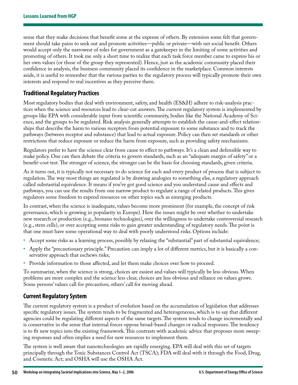sense that they make decisions that benefit some at the expense of others. By extension some felt that government should take pains to seek out and promote activities—public or private—with net social benefit. Others would accept only the narrowest of roles for government as a gatekeeper in the limiting of some activities and promoting of others. It took me only a short time to realize that each task force member came to express his or her own values (or those of the group they represented). Hence, just as the academic community placed their confidence in analysis, the business community placed its confidence in the marketplace. Common interests aside, it is useful to remember that the various parties to the regulatory process will typically promote their own interests and respond to real incentives as they perceive them.

# **Traditional Regulatory Practices**

Most regulatory bodies that deal with environment, safety, and health (ES&H) adhere to risk-analysis practices when the science and resources lead to clear-cut answers. The current regulatory system is implemented by groups like EPA with considerable input from scientific community, bodies like the National Academy of Science, and the groups to be regulated. Risk analysis generally attempts to establish the cause-and-effect relationships that describe the harm to various receptors from potential exposure to some substance and to track the pathways (between receptor and substance) that lead to actual exposure. Policy can then set standards or other restrictions that reduce exposure or reduce the harm from exposure, such as providing safety mechanisms.

Regulators prefer to have the science clear from cause to effect to pathways. It's a clean and defensible way to make policy. One can then debate the criteria to govern standards, such as an "adequate margin of safety" or a benefit-cost test. The stronger of science, the stronger can be the basis for choosing standards, given criteria.

As it turns out, it is typically not necessary to do science for each and every product of process that is subject to regulation. The way most things are regulated is by drawing analogies to something else, a regulatory approach called substantial equivalence. It means if you've got good science and you understand cause and effects and pathways, you can use the results from one narrow product to regulate a range of related products. This gives regulators some freedom to expend resources on other topics such as emerging products.

In contrast, when the science is inadequate, values become more prominent (for example, the concept of risk governance, which is growing in popularity in Europe). Here the issues might be over whether to undertake new research or production (e.g., bionano technologies), over the willingness to undertake controversial research (e.g., stem cells), or over accepting some risks to gain greater understanding of regulatory needs. The point is that one must have some operational way to deal with poorly understood risks. Options include:

- Accept some risks as a learning process, possibly by relaxing the "substantial" part of substantial equivalence; •
- Apply the "precautionary principle." Precaution can imply a lot of different metrics, but it is basically a con-• servative approach that eschews risks;
- Provide information to those affected, and let them make choices over how to proceed.

To summarize, when the science is strong, choices are easiest and values will typically be less obvious. When problems are more complex and the science less clear, choices are less obvious and reliance on values grows. Some persons' values call for precaution; others' call for moving ahead.

# **Current Regulatory System**

The current regulatory system is a product of evolution based on the accumulation of legislation that addresses specific regulatory issues. The system tends to be fragmented and heterogeneous, which is to say that different agencies could be regulating different aspects of the same targets. The system tends to change incrementally and is conservative in the sense that internal forces oppose broad-based changes or radical responses. The tendency is to fit new topics into the existing framework. This contrasts with academic advice that proposes more sweeping responses and often implies a need for new resources to implement them.

The system is well aware that nanotechnologies are rapidly emerging. EPA will deal with this set of targets principally through the Toxic Substances Control Act (TSCA); FDA will deal with it through the Food, Drug, and Cosmetic Act; and OSHA will use the OSHA Act.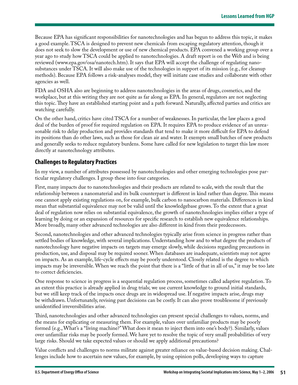Because EPA has significant responsibilities for nanotechnologies and has begun to address this topic, it makes a good example. TSCA is designed to prevent new chemicals from escaping regulatory attention, though it does not seek to slow the development or use of new chemical products. EPA convened a working group over a year ago to study how TSCA could be applied to nanotechnologies. A draft report is on the Web and is being reviewed (www.epa.gov/osa/nanotech.htm). It says that EPA will accept the challenge of regulating nanosubstances under TSCA. It will also make use of the technologies in support of its mission (e.g., for cleanup methods). Because EPA follows a risk-analyses model, they will initiate case studies and collaborate with other agencies as well.

FDA and OSHA also are beginning to address nanotechnologies in the areas of drugs, cosmetics, and the workplace, but at this writing they are not quite as far along as EPA. In general, regulators are not neglecting this topic. They have an established starting point and a path forward. Naturally, affected parties and critics are watching carefully.

On the other hand, critics have cited TSCA for a number of weaknesses. In particular, the law places a good deal of the burden of proof for required regulation on EPA. It requires EPA to produce evidence of an unreasonable risk to delay production and provides standards that tend to make it more difficult for EPA to defend its positions than do other laws, such as those for clean air and water. It exempts small batches of new products and generally seeks to reduce regulatory burdens. Some have called for new legislation to target this law more directly at nanotechnology attributes.

### **Challenges to Regulatory Practices**

In my view, a number of attributes possessed by nanotechnologies and other emerging technologies pose particular regulatory challenges. I group these into four categories.

First, many impacts due to nanotechnologies and their products are related to scale, with the result that the relationship between a nanomaterial and its bulk counterpart is different in kind rather than degree. This means one cannot apply existing regulations on, for example, bulk carbon to nanocarbon materials. Differences in kind mean that substantial equivalence may not be valid until the knowledgebase grows. To the extent that a great deal of regulation now relies on substantial equivalence, the growth of nanotechnologies implies either a type of learning by doing or an expansion of resources for specific research to establish new equivalence relationships. More broadly, many other advanced technologies are also different in kind from their predecessors.

Second, nanotechnologies and other advanced technologies typically arise from science in progress rather than settled bodies of knowledge, with several implications. Understanding how and to what degree the products of nanotechnology have negative impacts on targets may emerge slowly, while decisions regarding precautions in production, use, and disposal may be required sooner. When databases are inadequate, scientists may not agree on impacts. As an example, life-cycle effects may be poorly understood. Closely related is the degree to which impacts may be irreversible. When we reach the point that there is a "little of that in all of us," it may be too late to correct deficiencies.

One response to science in progress is a sequential regulation process, sometimes called adaptive regulation. To an extent this practice is already applied in drug trials; we use current knowledge to ground initial standards, but we still keep track of the impacts once drugs are in widespread use. If negative impacts arise, drugs may be withdrawn. Unfortunately, revising past decisions can be costly. It can also prove troublesome if previously unidentified irreversibilities arise.

Third, nanotechnologies and other advanced technologies can present special challenges to values, norms, and the means for explicating or measuring them. For example, values over unfamiliar products may be poorly formed (e.g., What's a "living machine?" What does it mean to inject them into one's body?). Similarly, values over unfamiliar risks may be poorly formed. We have yet to resolve the topic of very small probabilities of very large risks. Should we take expected values or should we apply additional precautions?

Value conflicts and challenges to norms militate against greater reliance on value-based decision making. Challenges include how to ascertain new values, for example, by using opinion polls, developing ways to capture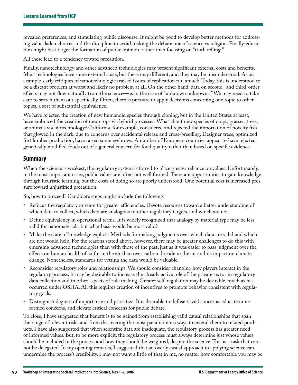revealed preferences, and stimulating public discourse. It might be good to develop better methods for addressing value-laden choices and the discipline to avoid making the debate one of science vs religion. Finally, education might best target the formation of public opinion, rather than focusing on "truth telling."

All these lead to a tendency toward precaution.

Finally, nanotechnology and other advanced technologies may present significant external costs and benefits. Most technologies have some external costs, but these may different, and they may be misunderstood. As an example, early critiques of nanotechnologies raised issues of replication run amuck. Today, this is understood to be a distant problem at worst and likely no problem at all. On the other hand, data on second- and third-order effects may not flow naturally from the science—as in the case of "unknown unknowns." We may need to take care to search them out specifically. Often, there is pressure to apply decisions concerning one topic to other topics, a sort of substantial equivalence.

We have rejected the creation of new humanoid species through cloning, but in the United States at least, have embraced the creation of new crops via hybrid processes. What about new species of crops, grasses, trees, or animals via biotechnology? California, for example, considered and rejected the importation of novelty fish that glowed in the dark, due to concerns over accidental release and cross-breeding. Designer trees, optimized fort lumber production, have raised some eyebrows. A number of European countries appear to have rejected genetically modified foods out of a general concern for food quality rather than based on specific evidence.

#### **Summary**

When the science is weakest, the regulatory system is forced to place greater reliance on values. Unfortunately, in the most important cases, public values are often not well formed. There are opportunities to gain knowledge through heuristic learning, but the costs of doing so are poorly understood. One potential cost is increased pressure toward unjustified precaution.

So, how to proceed? Candidate steps might include the following:

- Refocus the regulatory mission for greater efficiencies. Devote resources toward a better understanding of which data to collect, which data are analogous to other regulatory targets, and which are not. •
- Define equivalency in operational terms. It is widely recognized that analogy by material type may be less valid for nanomaterials, but what basis would be most valid?
- Make the state of knowledge explicit. Methods for making judgments over which data are valid and which are not would help. For the reasons stated above, however, there may be greater challenges to do this with emerging advanced technologies than with those of the past, just as it was easier to pass judgment over the effects on human health of sulfur in the air than over carbon dioxide in the air and its impact on climate change. Nonetheless, standards for vetting the data would be valuable.
- Reconsider regulatory roles and relationships. We should consider changing how players interact in the regulatory process. It may be desirable to increase the already active role of the private sector in regulatory data collection and in other aspects of rule making. Greater self-regulation may be desirable, much as has occurred under OSHA. All this requires creation of incentives to promote behavior consistent with regulatory goals. •
- Distinguish degrees of importance and prioritize. It is desirable to defuse trivial concerns, educate unin-• formed concerns, and elevate critical concerns for public debate.

To close, I have suggested that benefit is to be gained from establishing valid causal relationships that span the range of relevant risks and from discovering the most parsimonious ways to extend them to related products. I have also suggested that when scientific data are inadequate, the regulatory process has greater need of informed values. But, to be more explicit, the regulatory process must always determine just whose values should be included in the process and how they should be weighted, despite the science. This is a task that cannot be delegated. In my opening remarks, I suggested that an overly casual approach to applying science can undermine the process's credibility. I may not want a little of that in me, no matter how comfortable you may be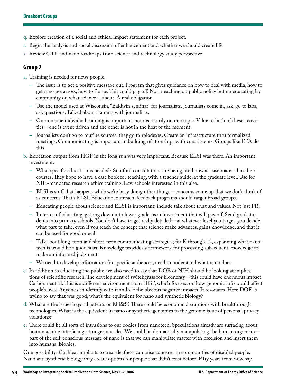- Explore creation of a social and ethical impact statement for each project. q.
- r. Begin the analysis and social discussion of enhancement and whether we should create life.
- s. Review GTL and nano roadmaps from science and technology study perspective.

### **Group 2**

- a. Training is needed for news people.
	- The issue is to get a positive message out. Program that gives guidance on how to deal with media, how to get message across, how to frame. This could pay off. Not preaching on public policy but on educating lay community on what science is about. A real obligation.
	- Use the model used at Wisconsin, "Baldwin seminar" for journalists. Journalists come in, ask, go to labs, **–** ask questions. Talked about framing with journalists.
	- One-on-one individual training is important, not necessarily on one topic. Value to both of these activi-**–** ties—one is event driven and the other is not in the heat of the moment.
	- Journalists don't go to routine sources, they go to rolodexes. Create an infrastructure thru formalized **–** meetings. Communicating is important in building relationships with constituents. Groups like EPA do this.
- b. Education output from HGP in the long run was very important. Because ELSI was there. An important investment.
	- What specific education is needed? Stanford consultations are being used now as case material in their **–** courses. They hope to have a case book for teaching, with a teacher guide, at the graduate level. Use for NIH-mandated research ethics training. Law schools interested in this also.
	- ELSI is stuff that happens while we're busy doing other things—concerns come up that we don't think of **–** as concerns. That's ELSI. Education, outreach, feedback programs should target broad groups.
	- Educating people about science and ELSI is important; include talk about trust and values. Not just PR. **–**
	- In terms of educating, getting down into lower grades is an investment that will pay off. Send grad stu-**–** dents into primary schools. You don't have to get really detailed—at whatever level you target, you decide what part to take, even if you teach the concept that science make advances, gains knowledge, and that it can be used for good or evil.
	- Talk about long-term and short-term communicating strategies; for K through 12, explaining what nano-**–** tech is would be a good start. Knowledge provides a framework for processing subsequent knowledge to make an informed judgment.
	- We need to develop information for specific audiences; need to understand what nano does. **–**
- c. In addition to educating the public, we also need to say that  $\rm DOE$  or NIH should be looking at implications of scientific research. The development of switchgrass for bioenergy—this could have enormous impact. Carbon neutral. This is a different environment from HGP, which focused on how genomic info would affect people's lives. Anyone can identify with it and see the obvious negative impacts. It resonates. Here DOE is trying to say that was good, what's the equivalent for nano and synthetic biology?
- What are the issues beyond patents or EH&S? There could be economic disruptions with breakthrough d. technologies. What is the equivalent in nano or synthetic genomics to the genome issue of personal-privacy violations?
- e. There could be all sorts of intrusions to our bodies from nanotech. Speculations already are surfacing about brain machine interfacing, stronger muscles. We could be dramatically manipulating the human organism part of the self-conscious message of nano is that we can manipulate matter with precision and insert them into humans. Bionics.

One possibility: Cochlear implants to treat deafness can raise concerns in communities of disabled people. Nano and synthetic biology may create options for people that didn't exist before. Fifty years from now, say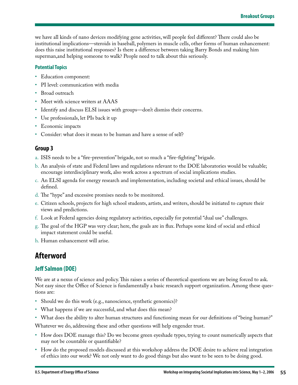we have all kinds of nano devices modifying gene activities, will people feel different? There could also be institutional implications—steroids in baseball, polymers in muscle cells, other forms of human enhancement: does this raise institutional responses? Is there a difference between taking Barry Bonds and making him superman,and helping someone to walk? People need to talk about this seriously.

#### **Potential Topics**

- Education component:
- PI level: communication with media
- Broad outreach
- Meet with science writers at AAAS
- Identify and discuss ELSI issues with groups—don't dismiss their concerns. •
- Use professionals, let PIs back it up •
- Economic impacts
- Consider: what does it mean to be human and have a sense of self? •

### **Group 3**

- a. ISIS needs to be a "fire-prevention" brigade, not so much a "fire-fighting" brigade.
- An analysis of state and Federal laws and regulations relevant to the DOE laboratories would be valuable; b. encourage interdisciplinary work, also work across a spectrum of social implications studies.
- An ELSI agenda for energy research and implementation, including societal and ethical issues, should be c. defined.
- d. The "hype" and excessive promises needs to be monitored.
- e. Citizen schools, projects for high school students, artists, and writers, should be initiated to capture their views and predictions.
- Look at Federal agencies doing regulatory activities, especially for potential "dual use" challenges. f.
- g. The goal of the HGP was very clear; here, the goals are in flux. Perhaps some kind of social and ethical impact statement could be useful.
- h. Human enhancement will arise.

# **Afterword**

# **Jeff Salmon (DOE)**

We are at a nexus of science and policy. This raises a series of theoretical questions we are being forced to ask. Not easy since the Office of Science is fundamentally a basic research support organization. Among these questions are:

- Should we do this work (e.g., nanoscience, synthetic genomics)? •
- What happens if we are successful, and what does this mean? •
- What does the ability to alter human structures and functioning mean for our definitions of "being human?" •

Whatever we do, addressing these and other questions will help engender trust.

- How does DOE manage this? Do we become green eyeshade types, trying to count numerically aspects that may not be countable or quantifiable?
- How do the proposed models discussed at this workshop address the DOE desire to achieve real integration of ethics into our work? We not only want to do good things but also want to be seen to be doing good.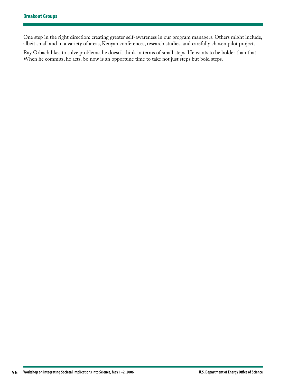One step in the right direction: creating greater self-awareness in our program managers. Others might include, albeit small and in a variety of areas, Kenyan conferences, research studies, and carefully chosen pilot projects.

Ray Orbach likes to solve problems; he doesn't think in terms of small steps. He wants to be bolder than that. When he commits, he acts. So now is an opportune time to take not just steps but bold steps.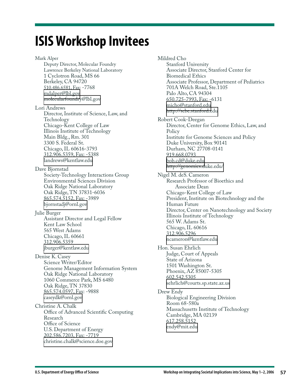# **ISIS Workshop Invitees**

Mark Alper Deputy Director, Molecular Foundry Lawrence Berkeley National Laboratory 1 Cyclotron Road, MS 66 Berkeley, CA 94720 510.486.6581, Fax: -7768 [mdalper@lbl.gov](mailto:mdalper@lbl.gov) [molecularfoundry@lbl.gov](mailto:molecularfoundry@lbl.gov) Lori Andrews Director, Institute of Science, Law, and Technology Chicago-Kent College of Law Illinois Institute of Technology Main Bldg., Rm. 301 3300 S. Federal St. Chicago, IL 60616-3793 312.906.5359, Fax: -5388 [landrews@kentlaw.edu](mailto:landrews@kentlaw.edu) Dave Bjornstad Society-Technology Interactions Group Environmental Sciences Division Oak Ridge National Laboratory Oak Ridge, TN 37831-6036 865.574.5152, Fax: -3989 [bjornstadj@ornl.gov](mailto:bjornstadj@ornl.gov) Julie Burger Assistant Director and Legal Fellow Kent Law School 565 West Adams Chicago, IL 60661 312.906.5359 [jburger@kentlaw.edu](mailto:jburger@kentlaw.edu) Denise K. Casey Science Writer/Editor Genome Management Information System Oak Ridge National Laboratory 1060 Commerce Park, MS 6480 Oak Ridge, TN 37830 865.574.0597, Fax: -9888 [caseydk@ornl.gov](mailto:caseydk@ornl.gov) Christine A. Chalk Office of Advanced Scientific Computing Research Office of Science U.S. Department of Energy 202.586.7203, Fax: -7719 [christine.chalk@science.doe.gov](mailto:christine.chalk@science.doe.gov)

Mildred Cho Stanford University Associate Director, Stanford Center for Biomedical Ethics Associate Professor, Department of Pediatrics 701A Welch Road, Ste.1105 Palo Alto, CA 94304 650.725-7993, Fax: -6131 [micho@stanford.edu](mailto:micho@stanford.edu) <http://scbe.stanford.edu> Robert Cook-Deegan Director, Center for Genome Ethics, Law, and Policy Institute for Genome Sciences and Policy Duke University, Box 90141 Durham, NC 27708-0141 919.668.0793 [bob.cd@duke.edu](mailto:bob.cd@duke.edu) <http://genomics.duke.edu/> Nigel M. deS. Cameron Research Professor of Bioethics and Associate Dean Chicago-Kent College of Law President, Institute on Biotechnology and the Human Future Director, Center on Nanotechnology and Society Illinois Institute of Technology 565 W. Adams St. Chicago, IL 60616 312.906.5296 [ncameron@kentlaw.edu](mailto:ncameron@kentlaw.edu) Hon. Susan Ehrlich Judge, Court of Appeals State of Arizona 1501 Washington St. Phoenix, AZ 85007-5305 602.542.5305 [sehrlich@courts.sp.state.az.us](mailto:sehrlich@courts.sp.state.az.us) Drew Endy Biological Engineering Division Room 68-580a Massachusetts Institute of Technology Cambridge, MA 02139 617.258.5152 [endy@mit.edu](mailto:endy@mit.edu)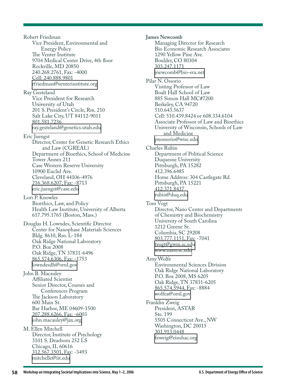Robert Friedman Vice President, Environmental and Energy Policy The Venter Institute 9704 Medical Center Drive, 4th floor Rockville, MD 20850 240.268.2761, Fax: -4000 Cell: 240.888.9801 [rfriedman@venterinstitute.org](mailto:rfriedman@venterinstitute.org) Ray Gesteland Vice President for Research University of Utah 201 S. President's Circle, Rm. 210 Salt Lake City, UT 84112-9011 801.581.7236 [ray.gesteland@genetics.utah.edu](mailto:ray.gesteland@genetics.utah.edu) Eric Juengst Director, Center for Genetic Research Ethics and Law (CGREAL) Department of Bioethics, School of Medicine Tower Annex 211 Case Western Reserve University 10900 Euclid Ave. Cleveland, OH 44106-4976 216.368.6207, Fax: -8713 [eric.juengst@case.edu](mailto:eric.juengst@case.edu) Lori P. Knowles Bioethics, Law, and Policy Health Law Institute, University of Alberta 617.795.1765 (Boston, Mass.) Douglas H. Lowndes, Scientific Director Center for Nanophase Materials Sciences Bldg. 8610, Rm. L-184 Oak Ridge National Laboratory P.O. Box 2008 Oak Ridge, TN 37831-6496 865.574.6306, Fax: -1753 [lowndesdh@ornl.gov](mailto:lowndesdh@ornl.gov) John B. Macauley Affiliated Scientist Senior Director, Courses and Conferences Program The Jackson Laboratory 600 Main St. Bar Harbor, ME 04609-1500 207.288.6266, Fax: -6003 [john.macauley@jax.org](mailto:john.macauley@jax.org) M. Ellen Mitchell Director, Institute of Psychology 3101 S. Dearborn 252 LS Chicago, IL 60616 312.567.3501, Fax: -3493

**James Newcomb** Managing Director for Research Bio Economic Research Associates 1290 Yellow Pine Ave. Boulder, CO 80304 303.247.1171 [jnewcomb@bio-era.net](mailto:jnewcomb@bio-era.net) Pilar N. Ossorio Visiting Professor of Law Boalt Hall School of Law 885 Simon Hall MC#7200 Berkeley, CA 94720 510.643.5637 Cell: 510.439.8424 or 608.334.6104 Associate Professor of Law and Bioethics University of Wisconsin, Schools of Law and Medicine [pnossorio@wisc.edu](mailto:pnossorio@wisc.edu) Charles Rubin Department of Political Science Duquesne University Pittsburgh, PA 15282 412.396.6485 Home Address: 304 Castlegate Rd. Pittsburgh, PA 15221 412.371.8437 [rubin@duq.edu](mailto:rubin@duq.edu) Tom Vogt Director, Nano Center and Departments of Chemistry and Biochemistry University of South Carolina 1212 Greene St. Columbia, SC 29208 803.777.1151, Fax: -7041 [tvogt@gwm.sc.edu](mailto:tvogt@gwm.sc.edu) [www.nano.sc.edu](http://www.nano.sc.edu) Amy Wolfe Environmental Sciences Division Oak Ridge National Laboratory P.O. Box 2008, MS 6205 Oak Ridge, TN 37831-6205 865.574.5944, Fax: -8884 [wolfea@ornl.gov](mailto:wolfea@ornl.gov) Franklin Zweig President, ASTAR Ste. 199 5505 Connecticut Ave., NW Washington, DC 20015 301.913.0448 [fzweig@einshac.org](mailto:fzweig@einshac.org)

[mitchelle@iit.edu](mailto:mitchelle@iit.edu)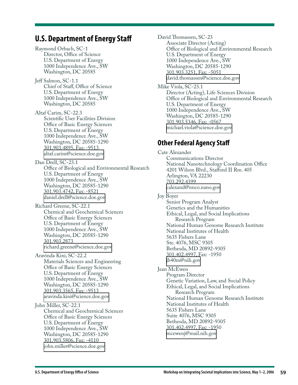# **U.S. Department of Energy Staff**

Raymond Orbach, SC-1 Director, Office of Science U.S. Department of Energy 1000 Independence Ave., SW Washington, DC 20585

Jeff Salmon, SC-1.1 Chief of Staff, Office of Science U.S. Department of Energy 1000 Independence Ave., SW Washington, DC 20585

Altaf Carim, SC-22.3 Scientific User Facilities Division Office of Basic Energy Sciences U.S. Department of Energy 1000 Independence Ave., SW Washington, DC 20585-1290 301.903.4895, Fax: -9513 [altaf.carim@science.doe.gov](mailto:altaf.carim@science.doe.gov)

Dan Drell, SC-23.1 Office of Biological and Environmental Research U.S. Department of Energy 1000 Independence Ave., SW Washington, DC 20585-1290 301.903.4742, Fax: -8521 [daniel.drell@science.doe.gov](mailto:daniel.drell@science.doe.gov)

Richard Greene, SC-22.1 Chemical and Geochemical Sciences Office of Basic Energy Sciences U.S. Department of Energy 1000 Independence Ave., SW Washington, DC 20585-1290 301.903.2873 [richard.greene@science.doe.gov](mailto:richard.greene@science.doe.gov)

Aravinda Kini, SC-22.2 Materials Sciences and Engineering Office of Basic Energy Sciences U.S. Department of Energy 1000 Independence Ave., SW Washington, DC 20585-1290 301.903.3565, Fax: -9513 [aravinda.kini@science.doe.gov](mailto:aravinda.kini@science.doe.gov)

John Miller, SC-22.1 Chemical and Geochemical Sciences Office of Basic Energy Sciences U.S. Department of Energy 1000 Independence Ave., SW Washington, DC 20585-1290 301.903.5806, Fax: -4110 [john.miller@science.doe.gov](mailto:john.miller@science.doe.gov)

David Thomassen, SC-23 Associate Director (Acting) Office of Biological and Environmental Research U.S. Department of Energy 1000 Independence Ave., SW Washington, DC 20585-1290 301.903.3251, Fax: -5051 [david.thomassen@science.doe.gov](mailto:david.thomassen@science.doe.gov)

Mike Viola, SC-23.1 Director (Acting), Life Sciences Division Office of Biological and Environmental Research U.S. Department of Energy 1000 Independence Ave., SW Washington, DC 20585-1290 301.903.5346, Fax: -0567 [michael.viola@science.doe.gov](mailto:michael.viola@science.doe.gov)

# **Other Federal Agency Staff**

Cate Alexander Communications Director National Nanotechnology Coordination Office 4201 Wilson Blvd., Stafford II Rm. 405 Arlington, VA 22230 703.292.4399 [calexand@nnco.nano.gov](mailto:calexand@nnco.nano.gov)

#### Joy Boyer

Senior Program Analyst Genetics and the Humanities Ethical, Legal, and Social Implications Research Program National Human Genome Research Institute National Institutes of Health 5635 Fishers Lane Ste. 4076, MSC 9305 Bethesda, MD 20892-9305 301.402.4997, Fax: -1950 [jb40m@nih.gov](mailto:jb40m@nih.gov)

#### Jean McEwen

Program Director Genetic Variation, Law, and Social Policy Ethical, Legal, and Social Implications Research Program National Human Genome Research Institute National Institutes of Health 5635 Fishers Lane Suite 4076, MSC 9305 Bethesda, MD 20892-9305 301.402.4997, Fax: -1950 [mcewenj@mail.nih.gov](mailto:mcewenj@mail.nih.gov)